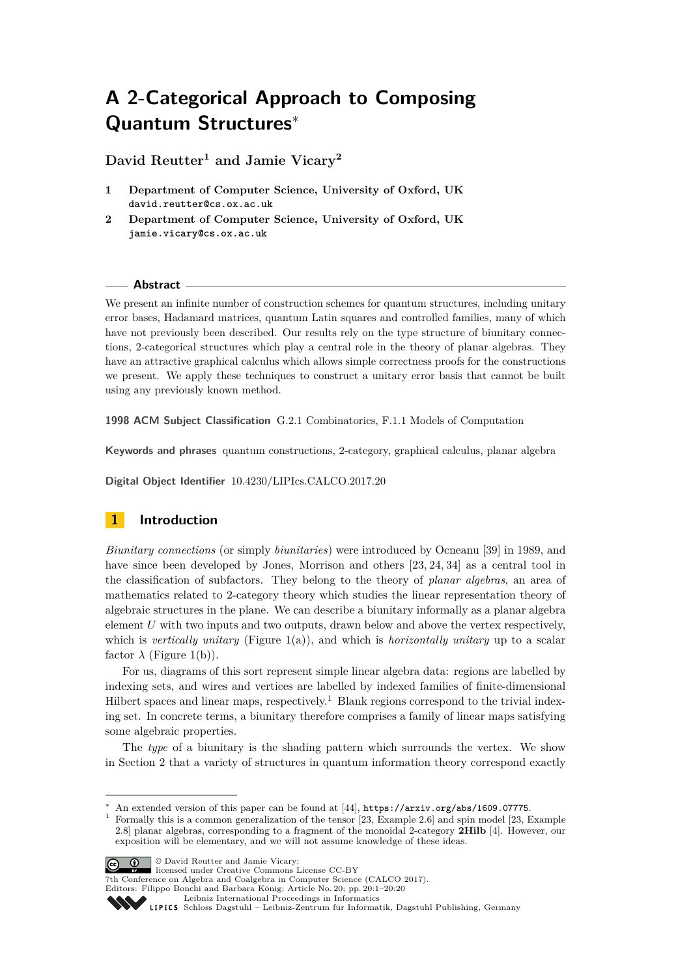# **A 2-Categorical Approach to Composing Quantum Structures**<sup>∗</sup>

**David Reutter<sup>1</sup> and Jamie Vicary<sup>2</sup>**

- **1 Department of Computer Science, University of Oxford, UK david.reutter@cs.ox.ac.uk**
- **2 Department of Computer Science, University of Oxford, UK jamie.vicary@cs.ox.ac.uk**

#### **Abstract**

We present an infinite number of construction schemes for quantum structures, including unitary error bases, Hadamard matrices, quantum Latin squares and controlled families, many of which have not previously been described. Our results rely on the type structure of biunitary connections, 2-categorical structures which play a central role in the theory of planar algebras. They have an attractive graphical calculus which allows simple correctness proofs for the constructions we present. We apply these techniques to construct a unitary error basis that cannot be built using any previously known method.

**1998 ACM Subject Classification** G.2.1 Combinatorics, F.1.1 Models of Computation

**Keywords and phrases** quantum constructions, 2-category, graphical calculus, planar algebra

**Digital Object Identifier** [10.4230/LIPIcs.CALCO.2017.20](http://dx.doi.org/10.4230/LIPIcs.CALCO.2017.20)

# **1 Introduction**

*Biunitary connections* (or simply *biunitaries*) were introduced by Ocneanu [\[39\]](#page-18-0) in 1989, and have since been developed by Jones, Morrison and others [\[23,](#page-17-0) [24,](#page-17-1) [34\]](#page-18-1) as a central tool in the classification of subfactors. They belong to the theory of *planar algebras*, an area of mathematics related to 2-category theory which studies the linear representation theory of algebraic structures in the plane. We can describe a biunitary informally as a planar algebra element *U* with two inputs and two outputs, drawn below and above the vertex respectively, which is *vertically unitary* (Figure [1\(](#page-1-0)a)), and which is *horizontally unitary* up to a scalar factor  $\lambda$  (Figure [1\(](#page-1-0)b)).

For us, diagrams of this sort represent simple linear algebra data: regions are labelled by indexing sets, and wires and vertices are labelled by indexed families of finite-dimensional Hilbert spaces and linear maps, respectively.<sup>[1](#page-0-0)</sup> Blank regions correspond to the trivial indexing set. In concrete terms, a biunitary therefore comprises a family of linear maps satisfying some algebraic properties.

The *type* of a biunitary is the shading pattern which surrounds the vertex. We show in Section [2](#page-5-0) that a variety of structures in quantum information theory correspond exactly

© David Reutter and Jamie Vicary; licensed under Creative Commons License CC-BY

7th Conference on Algebra and Coalgebra in Computer Science (CALCO 2017). Editors: Filippo Bonchi and Barbara König; Article No. 20; pp. 20:1–20[:20](#page-19-0)

[Leibniz International Proceedings in Informatics](http://www.dagstuhl.de/lipics/)

An extended version of this paper can be found at [\[44\]](#page-18-2), <https://arxiv.org/abs/1609.07775>.

<span id="page-0-0"></span><sup>1</sup> Formally this is a common generalization of the tensor [\[23,](#page-17-0) Example 2.6] and spin model [\[23,](#page-17-0) Example 2.8] planar algebras, corresponding to a fragment of the monoidal 2-category **2Hilb** [\[4\]](#page-16-0). However, our exposition will be elementary, and we will not assume knowledge of these ideas.

Leibniz international Froceedings in missimosischer Magstuhl Publishing, Germany<br>LIPICS [Schloss Dagstuhl – Leibniz-Zentrum für Informatik, Dagstuhl Publishing, Germany](http://www.dagstuhl.de)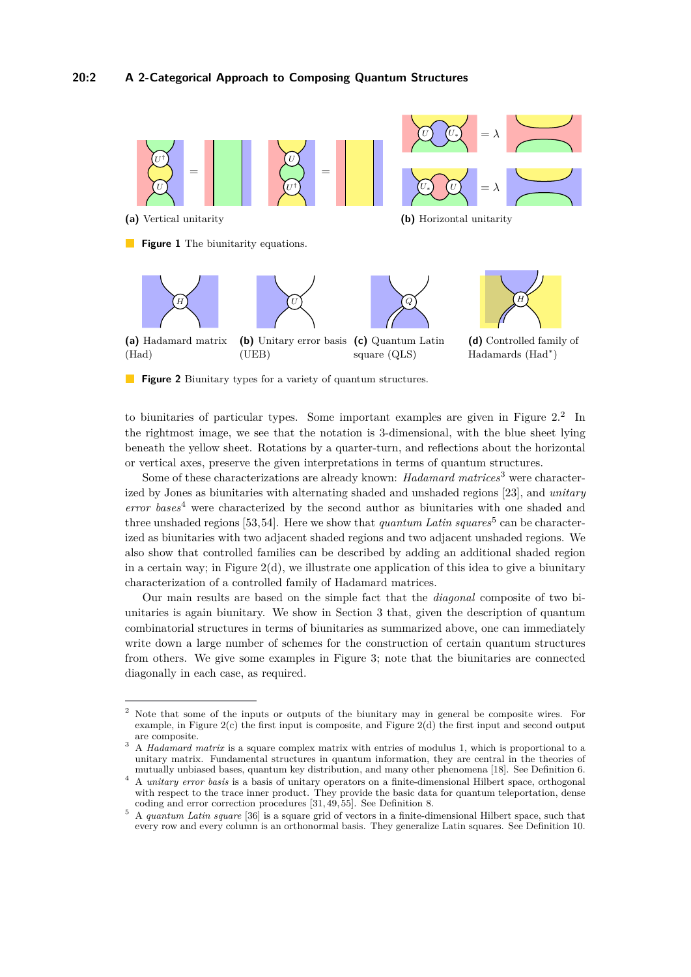<span id="page-1-0"></span>

<span id="page-1-1"></span>to biunitaries of particular types. Some important examples are given in Figure  $2<sup>2</sup>$  $2<sup>2</sup>$  In the rightmost image, we see that the notation is 3-dimensional, with the blue sheet lying beneath the yellow sheet. Rotations by a quarter-turn, and reflections about the horizontal or vertical axes, preserve the given interpretations in terms of quantum structures.

Some of these characterizations are already known: *Hadamard matrices*[3](#page-1-3) were characterized by Jones as biunitaries with alternating shaded and unshaded regions [\[23\]](#page-17-0), and *unitary error bases*[4](#page-1-4) were characterized by the second author as biunitaries with one shaded and three unshaded regions [\[53,](#page-19-1)[54\]](#page-19-2). Here we show that *quantum Latin squares*<sup>[5](#page-1-5)</sup> can be characterized as biunitaries with two adjacent shaded regions and two adjacent unshaded regions. We also show that controlled families can be described by adding an additional shaded region in a certain way; in Figure  $2(d)$ , we illustrate one application of this idea to give a biunitary characterization of a controlled family of Hadamard matrices.

Our main results are based on the simple fact that the *diagonal* composite of two biunitaries is again biunitary. We show in Section [3](#page-11-0) that, given the description of quantum combinatorial structures in terms of biunitaries as summarized above, one can immediately write down a large number of schemes for the construction of certain quantum structures from others. We give some examples in Figure [3;](#page-2-0) note that the biunitaries are connected diagonally in each case, as required.

<span id="page-1-2"></span><sup>2</sup> Note that some of the inputs or outputs of the biunitary may in general be composite wires. For example, in Figure [2\(](#page-1-1)c) the first input is composite, and Figure [2\(](#page-1-1)d) the first input and second output are composite.

<span id="page-1-3"></span><sup>&</sup>lt;sup>3</sup> A *Hadamard matrix* is a square complex matrix with entries of modulus 1, which is proportional to a unitary matrix. Fundamental structures in quantum information, they are central in the theories of mutually unbiased bases, quantum key distribution, and many other phenomena [\[18\]](#page-17-2). See Definition [6.](#page-10-0)

<span id="page-1-4"></span><sup>4</sup> A *unitary error basis* is a basis of unitary operators on a finite-dimensional Hilbert space, orthogonal with respect to the trace inner product. They provide the basic data for quantum teleportation, dense coding and error correction procedures [\[31,](#page-18-3) [49,](#page-19-3) [55\]](#page-19-4). See Definition [8.](#page-10-1)

<span id="page-1-5"></span><sup>5</sup> A *quantum Latin square* [\[36\]](#page-18-4) is a square grid of vectors in a finite-dimensional Hilbert space, such that every row and every column is an orthonormal basis. They generalize Latin squares. See Definition [10.](#page-10-2)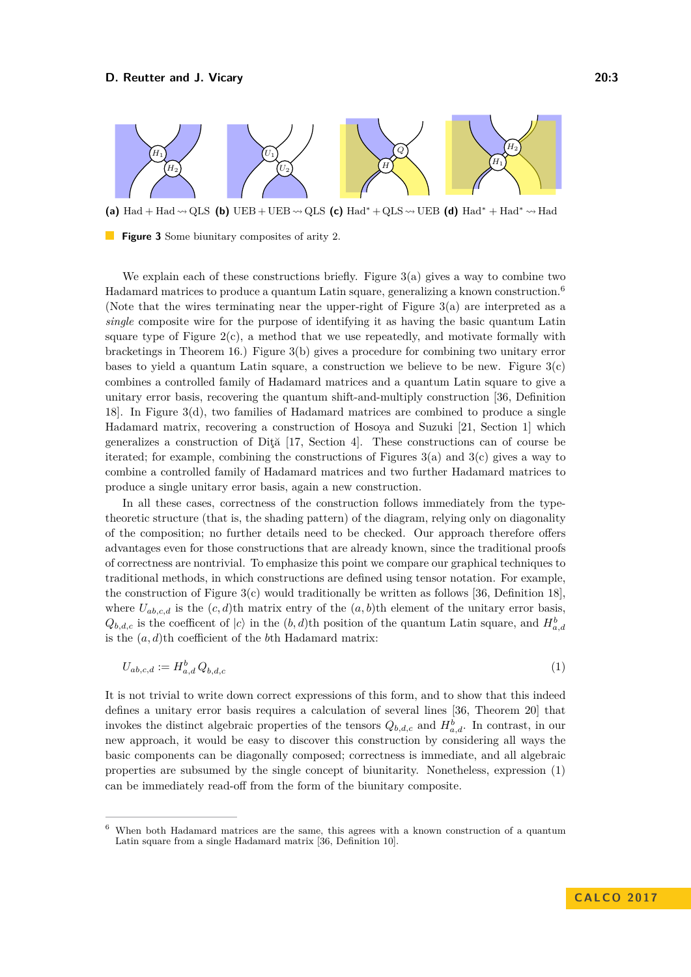<span id="page-2-0"></span>

**(a)** Had + Had  $\sim QLS$  **(b)** UEB + UEB  $\sim$  QLS **(c)** Had<sup>\*</sup> + QLS  $\sim$  UEB **(d)** Had<sup>\*</sup> + Had<sup>\*</sup>  $\sim$  Had

**Figure 3** Some biunitary composites of arity 2.

We explain each of these constructions briefly. Figure  $3(a)$  gives a way to combine two Hadamard matrices to produce a quantum Latin square, generalizing a known construction.<sup>[6](#page-2-1)</sup> (Note that the wires terminating near the upper-right of Figure [3\(](#page-2-0)a) are interpreted as a *single* composite wire for the purpose of identifying it as having the basic quantum Latin square type of Figure  $2(c)$ , a method that we use repeatedly, and motivate formally with bracketings in Theorem [16.](#page-12-0)) Figure [3\(](#page-2-0)b) gives a procedure for combining two unitary error bases to yield a quantum Latin square, a construction we believe to be new. Figure [3\(](#page-2-0)c) combines a controlled family of Hadamard matrices and a quantum Latin square to give a unitary error basis, recovering the quantum shift-and-multiply construction [\[36,](#page-18-4) Definition 18]. In Figure [3\(](#page-2-0)d), two families of Hadamard matrices are combined to produce a single Hadamard matrix, recovering a construction of Hosoya and Suzuki [\[21,](#page-17-3) Section 1] which generalizes a construction of Diţă [\[17,](#page-17-4) Section 4]. These constructions can of course be iterated; for example, combining the constructions of Figures [3\(](#page-2-0)a) and [3\(](#page-2-0)c) gives a way to combine a controlled family of Hadamard matrices and two further Hadamard matrices to produce a single unitary error basis, again a new construction.

In all these cases, correctness of the construction follows immediately from the typetheoretic structure (that is, the shading pattern) of the diagram, relying only on diagonality of the composition; no further details need to be checked. Our approach therefore offers advantages even for those constructions that are already known, since the traditional proofs of correctness are nontrivial. To emphasize this point we compare our graphical techniques to traditional methods, in which constructions are defined using tensor notation. For example, the construction of Figure  $3(c)$  would traditionally be written as follows [\[36,](#page-18-4) Definition 18], where  $U_{ab,c,d}$  is the  $(c,d)$ <sup>th</sup> matrix entry of the  $(a,b)$ <sup>th</sup> element of the unitary error basis,  $Q_{b,d,c}$  is the coefficent of  $|c\rangle$  in the  $(b,d)$ <sup>th</sup> position of the quantum Latin square, and  $H_{a,d}^b$ is the (*a, d*)th coefficient of the *b*th Hadamard matrix:

<span id="page-2-2"></span>
$$
U_{ab,c,d} := H_{a,d}^b Q_{b,d,c} \tag{1}
$$

It is not trivial to write down correct expressions of this form, and to show that this indeed defines a unitary error basis requires a calculation of several lines [\[36,](#page-18-4) Theorem 20] that invokes the distinct algebraic properties of the tensors  $Q_{b,d,c}$  and  $H_{a,d}^b$ . In contrast, in our new approach, it would be easy to discover this construction by considering all ways the basic components can be diagonally composed; correctness is immediate, and all algebraic properties are subsumed by the single concept of biunitarity. Nonetheless, expression [\(1\)](#page-2-2) can be immediately read-off from the form of the biunitary composite.

<span id="page-2-1"></span><sup>6</sup> When both Hadamard matrices are the same, this agrees with a known construction of a quantum Latin square from a single Hadamard matrix [\[36,](#page-18-4) Definition 10].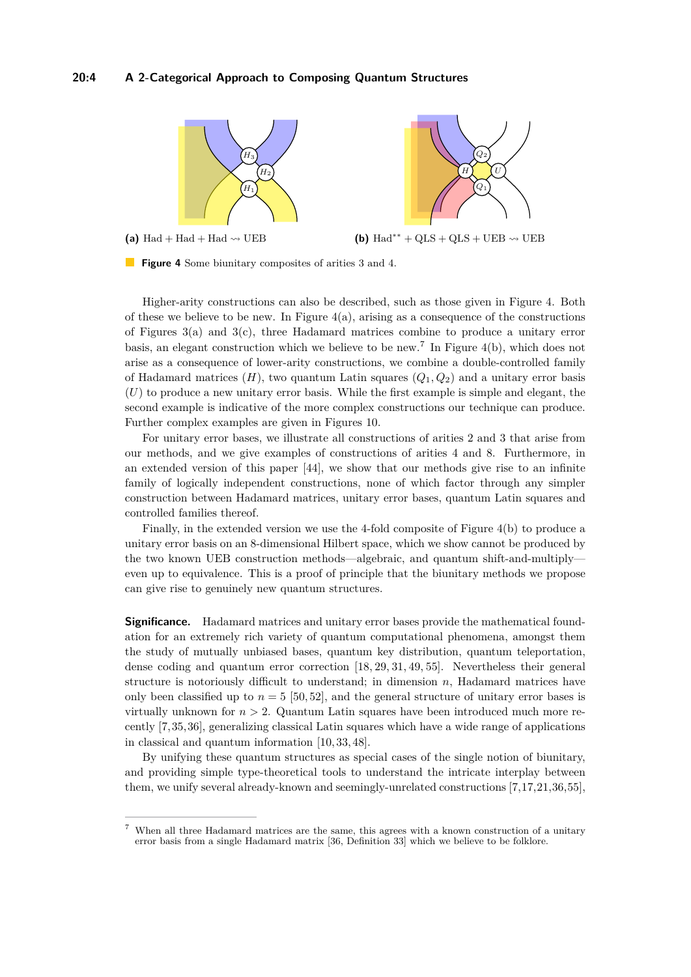# **20:4 A 2-Categorical Approach to Composing Quantum Structures**

<span id="page-3-0"></span>

(a)  $Had + Had + Had \rightarrow UEB$ 

**(b)** Had<sup>\*\*</sup> + QLS + QLS + UEB  $\rightsquigarrow$  UEB

**Figure 4** Some biunitary composites of arities 3 and 4.

Higher-arity constructions can also be described, such as those given in Figure [4.](#page-3-0) Both of these we believe to be new. In Figure  $4(a)$ , arising as a consequence of the constructions of Figures [3\(](#page-2-0)a) and [3\(](#page-2-0)c), three Hadamard matrices combine to produce a unitary error basis, an elegant construction which we believe to be new.[7](#page-3-1) In Figure [4\(](#page-3-0)b), which does not arise as a consequence of lower-arity constructions, we combine a double-controlled family of Hadamard matrices  $(H)$ , two quantum Latin squares  $(Q_1, Q_2)$  and a unitary error basis (*U*) to produce a new unitary error basis. While the first example is simple and elegant, the second example is indicative of the more complex constructions our technique can produce. Further complex examples are given in Figures [10.](#page-15-0)

For unitary error bases, we illustrate all constructions of arities 2 and 3 that arise from our methods, and we give examples of constructions of arities 4 and 8. Furthermore, in an extended version of this paper [\[44\]](#page-18-2), we show that our methods give rise to an infinite family of logically independent constructions, none of which factor through any simpler construction between Hadamard matrices, unitary error bases, quantum Latin squares and controlled families thereof.

Finally, in the extended version we use the 4-fold composite of Figure [4\(](#page-3-0)b) to produce a unitary error basis on an 8-dimensional Hilbert space, which we show cannot be produced by the two known UEB construction methods—algebraic, and quantum shift-and-multiply even up to equivalence. This is a proof of principle that the biunitary methods we propose can give rise to genuinely new quantum structures.

**Significance.** Hadamard matrices and unitary error bases provide the mathematical foundation for an extremely rich variety of quantum computational phenomena, amongst them the study of mutually unbiased bases, quantum key distribution, quantum teleportation, dense coding and quantum error correction [\[18,](#page-17-2) [29,](#page-18-5) [31,](#page-18-3) [49,](#page-19-3) [55\]](#page-19-4). Nevertheless their general structure is notoriously difficult to understand; in dimension *n*, Hadamard matrices have only been classified up to  $n = 5$  [\[50,](#page-19-5) [52\]](#page-19-6), and the general structure of unitary error bases is virtually unknown for  $n > 2$ . Quantum Latin squares have been introduced much more recently [\[7,](#page-17-5)[35,](#page-18-6)[36\]](#page-18-4), generalizing classical Latin squares which have a wide range of applications in classical and quantum information [\[10,](#page-17-6) [33,](#page-18-7) [48\]](#page-19-7).

By unifying these quantum structures as special cases of the single notion of biunitary, and providing simple type-theoretical tools to understand the intricate interplay between them, we unify several already-known and seemingly-unrelated constructions [\[7,](#page-17-5)[17,](#page-17-4)[21,](#page-17-3)[36,](#page-18-4)[55\]](#page-19-4),

<span id="page-3-1"></span><sup>7</sup> When all three Hadamard matrices are the same, this agrees with a known construction of a unitary error basis from a single Hadamard matrix [\[36,](#page-18-4) Definition 33] which we believe to be folklore.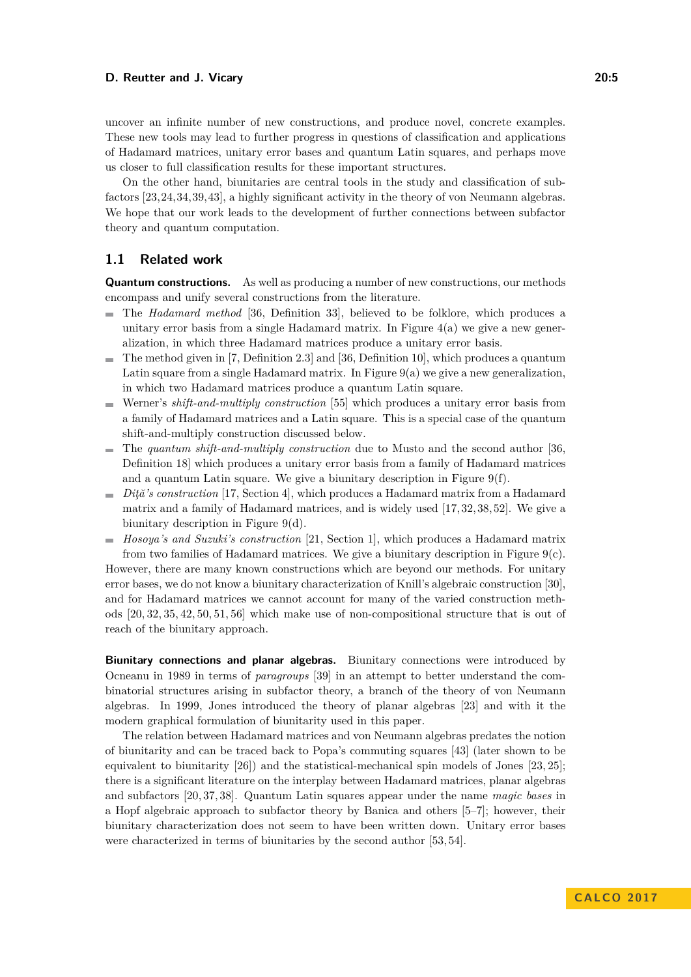uncover an infinite number of new constructions, and produce novel, concrete examples. These new tools may lead to further progress in questions of classification and applications of Hadamard matrices, unitary error bases and quantum Latin squares, and perhaps move us closer to full classification results for these important structures.

On the other hand, biunitaries are central tools in the study and classification of subfactors [\[23,](#page-17-0)[24,](#page-17-1)[34,](#page-18-1)[39,](#page-18-0)[43\]](#page-18-8), a highly significant activity in the theory of von Neumann algebras. We hope that our work leads to the development of further connections between subfactor theory and quantum computation.

## **1.1 Related work**

**Quantum constructions.** As well as producing a number of new constructions, our methods encompass and unify several constructions from the literature.

- The *Hadamard method* [\[36,](#page-18-4) Definition 33], believed to be folklore, which produces a unitary error basis from a single Hadamard matrix. In Figure  $4(a)$  we give a new generalization, in which three Hadamard matrices produce a unitary error basis.
- $\blacksquare$  The method given in [\[7,](#page-17-5) Definition 2.3] and [\[36,](#page-18-4) Definition 10], which produces a quantum Latin square from a single Hadamard matrix. In Figure  $9(a)$  we give a new generalization, in which two Hadamard matrices produce a quantum Latin square.
- Werner's *shift-and-multiply construction* [\[55\]](#page-19-4) which produces a unitary error basis from  $\sim$ a family of Hadamard matrices and a Latin square. This is a special case of the quantum shift-and-multiply construction discussed below.
- The *quantum shift-and-multiply construction* due to Musto and the second author [\[36,](#page-18-4) Definition 18] which produces a unitary error basis from a family of Hadamard matrices and a quantum Latin square. We give a biunitary description in Figure  $9(f)$ .
- *Dită's construction* [\[17,](#page-17-4) Section 4], which produces a Hadamard matrix from a Hadamard matrix and a family of Hadamard matrices, and is widely used [\[17,](#page-17-4) [32,](#page-18-9) [38,](#page-18-10) [52\]](#page-19-6). We give a biunitary description in Figure [9\(](#page-12-1)d).
- *Hosoya's and Suzuki's construction* [\[21,](#page-17-3) Section 1], which produces a Hadamard matrix from two families of Hadamard matrices. We give a biunitary description in Figure  $9(c)$ .

However, there are many known constructions which are beyond our methods. For unitary error bases, we do not know a biunitary characterization of Knill's algebraic construction [\[30\]](#page-18-11), and for Hadamard matrices we cannot account for many of the varied construction methods [\[20,](#page-17-7) [32,](#page-18-9) [35,](#page-18-6) [42,](#page-18-12) [50,](#page-19-5) [51,](#page-19-8) [56\]](#page-19-9) which make use of non-compositional structure that is out of reach of the biunitary approach.

**Biunitary connections and planar algebras.** Biunitary connections were introduced by Ocneanu in 1989 in terms of *paragroups* [\[39\]](#page-18-0) in an attempt to better understand the combinatorial structures arising in subfactor theory, a branch of the theory of von Neumann algebras. In 1999, Jones introduced the theory of planar algebras [\[23\]](#page-17-0) and with it the modern graphical formulation of biunitarity used in this paper.

The relation between Hadamard matrices and von Neumann algebras predates the notion of biunitarity and can be traced back to Popa's commuting squares [\[43\]](#page-18-8) (later shown to be equivalent to biunitarity [\[26\]](#page-18-13)) and the statistical-mechanical spin models of Jones [\[23,](#page-17-0) [25\]](#page-17-8); there is a significant literature on the interplay between Hadamard matrices, planar algebras and subfactors [\[20,](#page-17-7) [37,](#page-18-14) [38\]](#page-18-10). Quantum Latin squares appear under the name *magic bases* in a Hopf algebraic approach to subfactor theory by Banica and others [\[5–](#page-17-9)[7\]](#page-17-5); however, their biunitary characterization does not seem to have been written down. Unitary error bases were characterized in terms of biunitaries by the second author [\[53,](#page-19-1) [54\]](#page-19-2).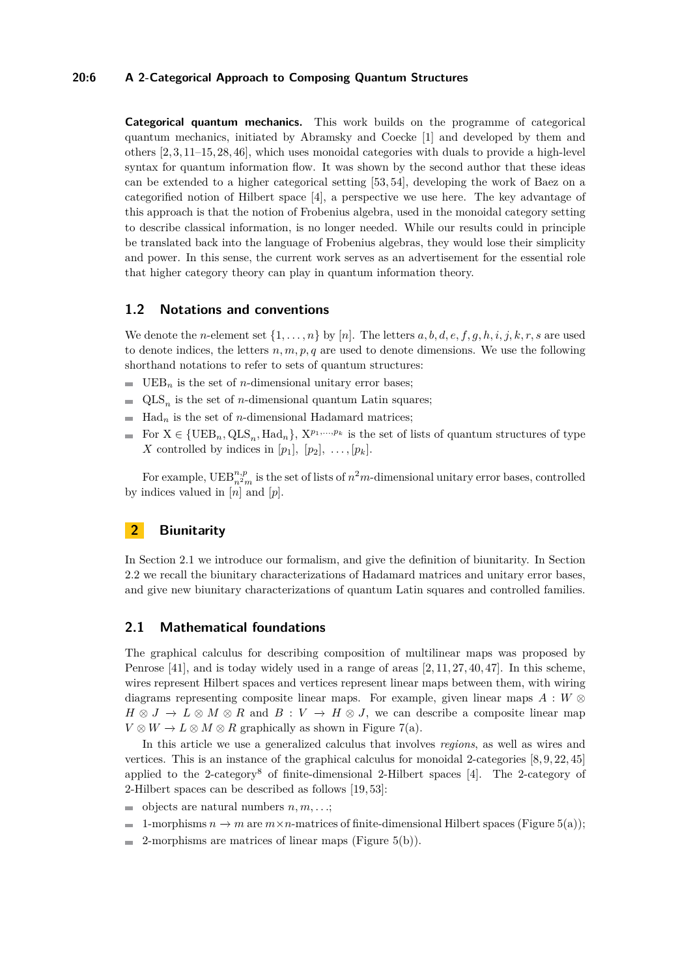## **20:6 A 2-Categorical Approach to Composing Quantum Structures**

**Categorical quantum mechanics.** This work builds on the programme of categorical quantum mechanics, initiated by Abramsky and Coecke [\[1\]](#page-16-1) and developed by them and others [\[2,](#page-16-2) [3,](#page-16-3) [11](#page-17-10)[–15,](#page-17-11) [28,](#page-18-15) [46\]](#page-19-10), which uses monoidal categories with duals to provide a high-level syntax for quantum information flow. It was shown by the second author that these ideas can be extended to a higher categorical setting [\[53,](#page-19-1) [54\]](#page-19-2), developing the work of Baez on a categorified notion of Hilbert space [\[4\]](#page-16-0), a perspective we use here. The key advantage of this approach is that the notion of Frobenius algebra, used in the monoidal category setting to describe classical information, is no longer needed. While our results could in principle be translated back into the language of Frobenius algebras, they would lose their simplicity and power. In this sense, the current work serves as an advertisement for the essential role that higher category theory can play in quantum information theory.

# **1.2 Notations and conventions**

We denote the *n*-element set  $\{1, \ldots, n\}$  by [*n*]. The letters  $a, b, d, e, f, g, h, i, j, k, r, s$  are used to denote indices, the letters  $n, m, p, q$  are used to denote dimensions. We use the following shorthand notations to refer to sets of quantum structures:

- $\blacksquare$  UEB<sub>n</sub> is the set of *n*-dimensional unitary error bases;
- $\equiv$  $QLS_n$  is the set of *n*-dimensional quantum Latin squares;
- $\blacksquare$  Had<sub>n</sub> is the set of *n*-dimensional Hadamard matrices;
- For  $X \in \{UEB_n, QLS_n, Had_n\}, X^{p_1,...,p_k}$  is the set of lists of quantum structures of type *X* controlled by indices in  $[p_1]$ ,  $[p_2]$ , ...,  $[p_k]$ .

For example,  $\text{UEB}_{n^2m}^{n,p}$  is the set of lists of  $n^2m$ -dimensional unitary error bases, controlled by indices valued in [*n*] and [*p*].

# <span id="page-5-0"></span>**2 Biunitarity**

In Section [2.1](#page-5-1) we introduce our formalism, and give the definition of biunitarity. In Section [2.2](#page-9-0) we recall the biunitary characterizations of Hadamard matrices and unitary error bases, and give new biunitary characterizations of quantum Latin squares and controlled families.

## <span id="page-5-1"></span>**2.1 Mathematical foundations**

The graphical calculus for describing composition of multilinear maps was proposed by Penrose [\[41\]](#page-18-16), and is today widely used in a range of areas [\[2,](#page-16-2) [11,](#page-17-10) [27,](#page-18-17) [40,](#page-18-18) [47\]](#page-19-11). In this scheme, wires represent Hilbert spaces and vertices represent linear maps between them, with wiring diagrams representing composite linear maps. For example, given linear maps *A* : *W* ⊗  $H \otimes J \to L \otimes M \otimes R$  and  $B: V \to H \otimes J$ , we can describe a composite linear map  $V \otimes W \to L \otimes M \otimes R$  graphically as shown in Figure [7\(](#page-7-0)a).

In this article we use a generalized calculus that involves *regions*, as well as wires and vertices. This is an instance of the graphical calculus for monoidal 2-categories [\[8,](#page-17-12) [9,](#page-17-13) [22,](#page-17-14) [45\]](#page-18-19) applied to the 2-category<sup>[8](#page-6-0)</sup> of finite-dimensional 2-Hilbert spaces  $[4]$ . The 2-category of 2-Hilbert spaces can be described as follows [\[19,](#page-17-15) [53\]](#page-19-1):

- objects are natural numbers *n, m, . . .*;
- 1-morphisms  $n \to m$  are  $m \times n$ -matrices of finite-dimensional Hilbert spaces (Figure [5\(](#page-6-1)a));  $\rightarrow$
- 2-morphisms are matrices of linear maps (Figure [5\(](#page-6-1)b)). $\blacksquare$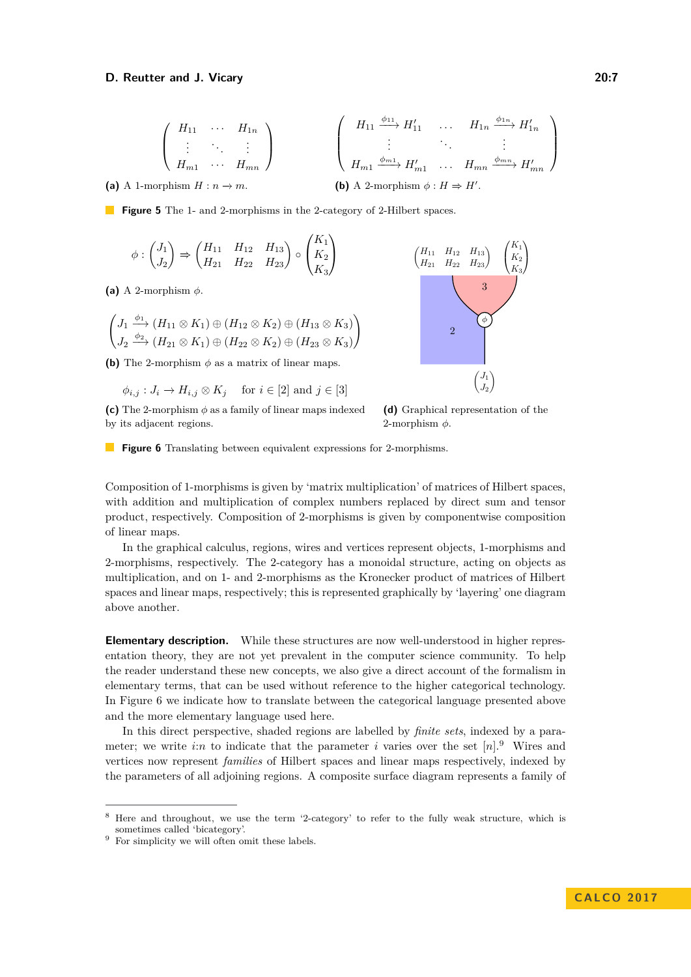<span id="page-6-1"></span>
$$
\begin{pmatrix}\nH_{11} & \cdots & H_{1n} \\
\vdots & \ddots & \vdots \\
H_{m1} & \cdots & H_{mn}\n\end{pmatrix}\n\qquad\n\begin{pmatrix}\nH_{11} \xrightarrow{\phi_{11}} H'_{11} & \cdots & H_{1n} \xrightarrow{\phi_{1n}} H'_{1n} \\
\vdots & \ddots & \vdots \\
H_{m1} \xrightarrow{\phi_{m1}} H'_{m1} & \cdots & H_{mn} \xrightarrow{\phi_{mn}} H'_{mn}\n\end{pmatrix}
$$
\n
$$
\text{cphism } H: n \to m.
$$
\n
$$
\textbf{(b) A 2-morphism } \phi: H \Rightarrow H'.
$$

**(a)** A 1-morp

<span id="page-6-2"></span>**Figure 5** The 1- and 2-morphisms in the 2-category of 2-Hilbert spaces.

$$
\phi : \begin{pmatrix} J_1 \\ J_2 \end{pmatrix} \Rightarrow \begin{pmatrix} H_{11} & H_{12} & H_{13} \\ H_{21} & H_{22} & H_{23} \end{pmatrix} \circ \begin{pmatrix} K_1 \\ K_2 \\ K_3 \end{pmatrix}
$$

**(a)** A 2-morphism *φ*.

$$
\begin{pmatrix} J_1 \xrightarrow{\phi_1} (H_{11} \otimes K_1) \oplus (H_{12} \otimes K_2) \oplus (H_{13} \otimes K_3) \\ J_2 \xrightarrow{\phi_2} (H_{21} \otimes K_1) \oplus (H_{22} \otimes K_2) \oplus (H_{23} \otimes K_3) \end{pmatrix}
$$

**(b)** The 2-morphism  $\phi$  as a matrix of linear maps.

 $\phi_{i,j}: J_i \to H_{i,j} \otimes K_j$  for  $i \in [2]$  and  $j \in [3]$ 

**(c)** The 2-morphism  $\phi$  as a family of linear maps indexed by its adjacent regions.



**(d)** Graphical representation of the 2-morphism *φ*.

**Figure 6** Translating between equivalent expressions for 2-morphisms.

Composition of 1-morphisms is given by 'matrix multiplication' of matrices of Hilbert spaces, with addition and multiplication of complex numbers replaced by direct sum and tensor product, respectively. Composition of 2-morphisms is given by componentwise composition of linear maps.

In the graphical calculus, regions, wires and vertices represent objects, 1-morphisms and 2-morphisms, respectively. The 2-category has a monoidal structure, acting on objects as multiplication, and on 1- and 2-morphisms as the Kronecker product of matrices of Hilbert spaces and linear maps, respectively; this is represented graphically by 'layering' one diagram above another.

**Elementary description.** While these structures are now well-understood in higher representation theory, they are not yet prevalent in the computer science community. To help the reader understand these new concepts, we also give a direct account of the formalism in elementary terms, that can be used without reference to the higher categorical technology. In Figure [6](#page-6-2) we indicate how to translate between the categorical language presented above and the more elementary language used here.

In this direct perspective, shaded regions are labelled by *finite sets*, indexed by a parameter; we write *i*:*n* to indicate that the parameter *i* varies over the set  $[n]$ <sup>[9](#page-6-3)</sup>. Wires and vertices now represent *families* of Hilbert spaces and linear maps respectively, indexed by the parameters of all adjoining regions. A composite surface diagram represents a family of

<span id="page-6-0"></span><sup>8</sup> Here and throughout, we use the term '2-category' to refer to the fully weak structure, which is sometimes called 'bicategory'.

<span id="page-6-3"></span> $9$  For simplicity we will often omit these labels.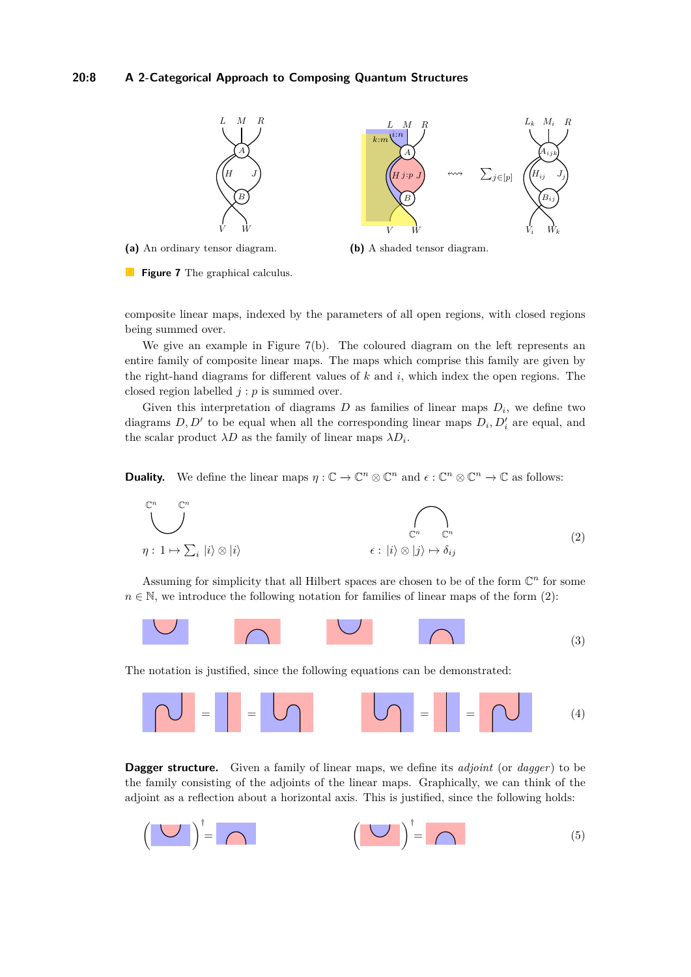## **20:8 A 2-Categorical Approach to Composing Quantum Structures**

<span id="page-7-0"></span>

**(a)** An ordinary tensor diagram.

<span id="page-7-1"></span>**(b)** A shaded tensor diagram.

**Figure 7** The graphical calculus.

composite linear maps, indexed by the parameters of all open regions, with closed regions being summed over.

We give an example in Figure  $7(b)$ . The coloured diagram on the left represents an entire family of composite linear maps. The maps which comprise this family are given by the right-hand diagrams for different values of *k* and *i*, which index the open regions. The closed region labelled *j* : *p* is summed over.

Given this interpretation of diagrams  $D$  as families of linear maps  $D_i$ , we define two diagrams  $D, D'$  to be equal when all the corresponding linear maps  $D_i, D'_i$  are equal, and the scalar product  $\lambda D$  as the family of linear maps  $\lambda D_i$ .

**Duality.** We define the linear maps  $\eta : \mathbb{C} \to \mathbb{C}^n \otimes \mathbb{C}^n$  and  $\epsilon : \mathbb{C}^n \otimes \mathbb{C}^n \to \mathbb{C}$  as follows:



Assuming for simplicity that all Hilbert spaces are chosen to be of the form  $\mathbb{C}^n$  for some  $n \in \mathbb{N}$ , we introduce the following notation for families of linear maps of the form [\(2\)](#page-7-1):



The notation is justified, since the following equations can be demonstrated:



**Dagger structure.** Given a family of linear maps, we define its *adjoint* (or *dagger*) to be the family consisting of the adjoints of the linear maps. Graphically, we can think of the adjoint as a reflection about a horizontal axis. This is justified, since the following holds:

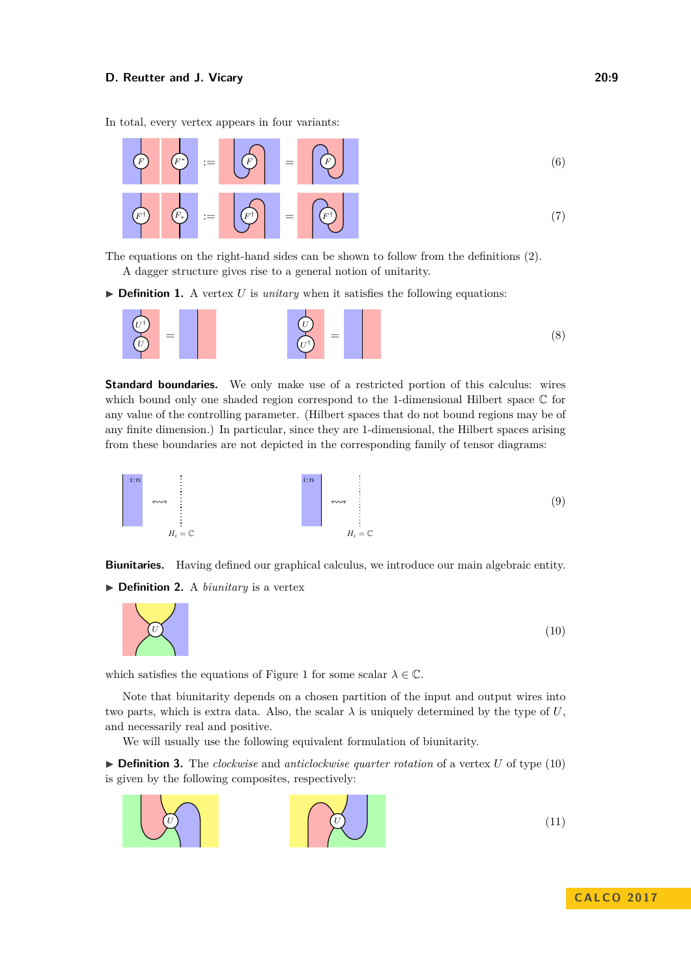In total, every vertex appears in four variants:



The equations on the right-hand sides can be shown to follow from the definitions [\(2\)](#page-7-1). A dagger structure gives rise to a general notion of unitarity.

 $\triangleright$  **Definition 1.** A vertex *U* is *unitary* when it satisfies the following equations:



<span id="page-8-1"></span>**Standard boundaries.** We only make use of a restricted portion of this calculus: wires which bound only one shaded region correspond to the 1-dimensional Hilbert space  $\mathbb C$  for any value of the controlling parameter. (Hilbert spaces that do not bound regions may be of any finite dimension.) In particular, since they are 1-dimensional, the Hilbert spaces arising from these boundaries are not depicted in the corresponding family of tensor diagrams:



**Biunitaries.** Having defined our graphical calculus, we introduce our main algebraic entity.

▶ **Definition 2.** A *biunitary* is a vertex

<span id="page-8-0"></span>

which satisfies the equations of Figure [1](#page-1-0) for some scalar  $\lambda \in \mathbb{C}$ .

Note that biunitarity depends on a chosen partition of the input and output wires into two parts, which is extra data. Also, the scalar  $\lambda$  is uniquely determined by the type of U, and necessarily real and positive.

We will usually use the following equivalent formulation of biunitarity.

▶ **Definition 3.** The *clockwise* and *anticlockwise quarter rotation* of a vertex *U* of type [\(10\)](#page-8-0) is given by the following composites, respectively:

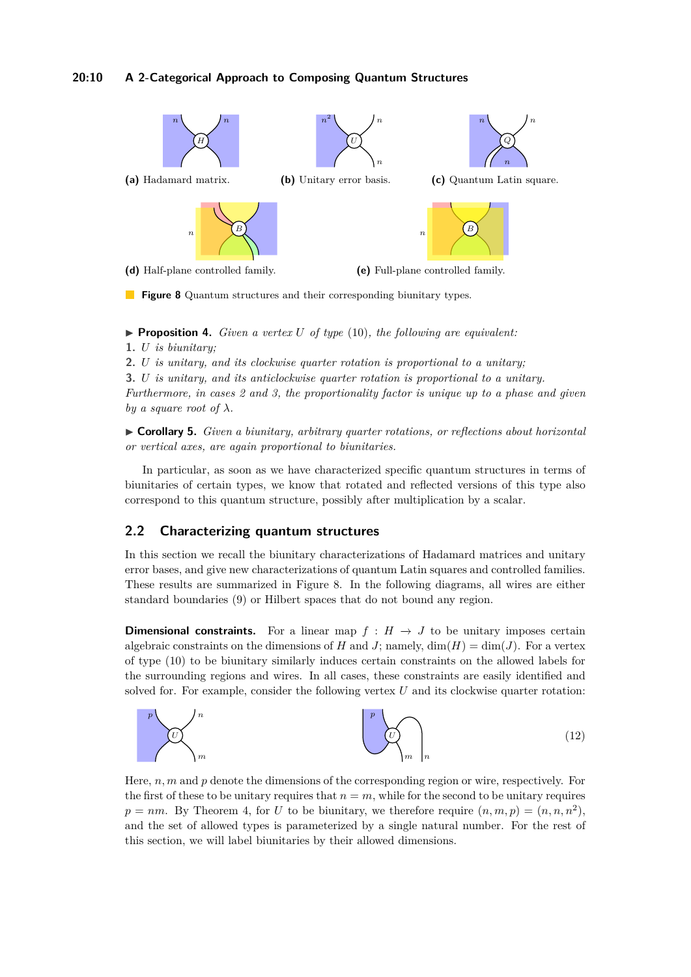## **20:10 A 2-Categorical Approach to Composing Quantum Structures**

<span id="page-9-1"></span>

**Figure 8** Quantum structures and their corresponding biunitary types.

<span id="page-9-2"></span> $\triangleright$  **Proposition 4.** *Given a vertex U of type* [\(10\)](#page-8-0)*, the following are equivalent:* **1.** *U is biunitary;*

**2.** *U is unitary, and its clockwise quarter rotation is proportional to a unitary;*

**3.** *U is unitary, and its anticlockwise quarter rotation is proportional to a unitary. Furthermore, in cases 2 and 3, the proportionality factor is unique up to a phase and given by a square root of*  $\lambda$ *.* 

<span id="page-9-3"></span>I **Corollary 5.** *Given a biunitary, arbitrary quarter rotations, or reflections about horizontal or vertical axes, are again proportional to biunitaries.*

In particular, as soon as we have characterized specific quantum structures in terms of biunitaries of certain types, we know that rotated and reflected versions of this type also correspond to this quantum structure, possibly after multiplication by a scalar.

# <span id="page-9-0"></span>**2.2 Characterizing quantum structures**

In this section we recall the biunitary characterizations of Hadamard matrices and unitary error bases, and give new characterizations of quantum Latin squares and controlled families. These results are summarized in Figure [8.](#page-9-1) In the following diagrams, all wires are either standard boundaries [\(9\)](#page-8-1) or Hilbert spaces that do not bound any region.

**Dimensional constraints.** For a linear map  $f : H \to J$  to be unitary imposes certain algebraic constraints on the dimensions of *H* and *J*; namely,  $\dim(H) = \dim(J)$ . For a vertex of type [\(10\)](#page-8-0) to be biunitary similarly induces certain constraints on the allowed labels for the surrounding regions and wires. In all cases, these constraints are easily identified and solved for. For example, consider the following vertex *U* and its clockwise quarter rotation:



Here, *n, m* and *p* denote the dimensions of the corresponding region or wire, respectively. For the first of these to be unitary requires that  $n = m$ , while for the second to be unitary requires  $p = nm$ . By Theorem [4,](#page-9-2) for *U* to be biunitary, we therefore require  $(n, m, p) = (n, n, n^2)$ , and the set of allowed types is parameterized by a single natural number. For the rest of this section, we will label biunitaries by their allowed dimensions.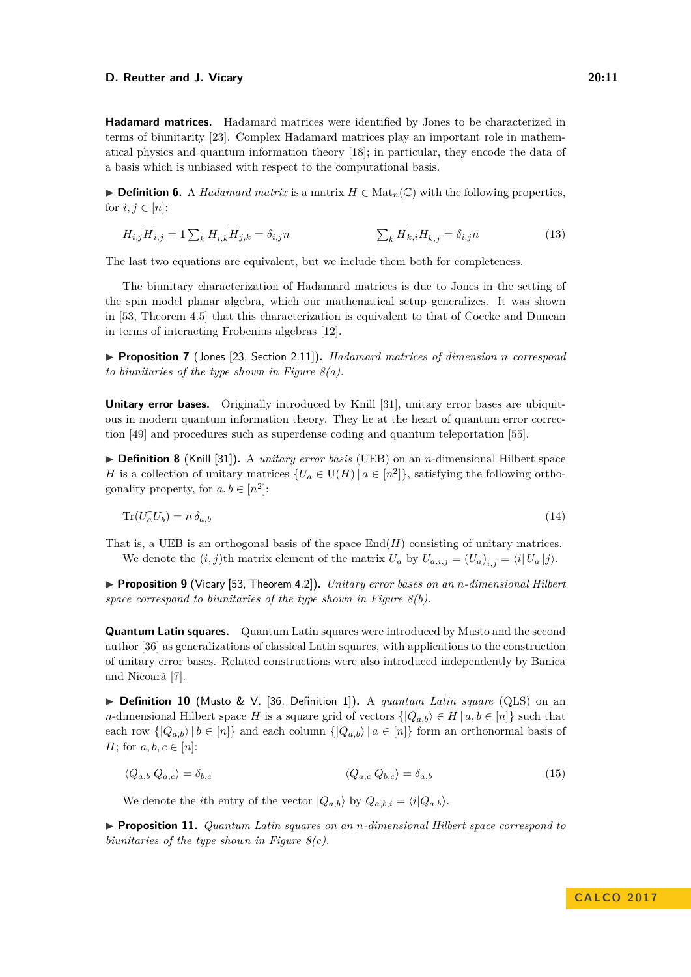**Hadamard matrices.** Hadamard matrices were identified by Jones to be characterized in terms of biunitarity [\[23\]](#page-17-0). Complex Hadamard matrices play an important role in mathematical physics and quantum information theory [\[18\]](#page-17-2); in particular, they encode the data of a basis which is unbiased with respect to the computational basis.

<span id="page-10-0"></span>**► Definition 6.** A *Hadamard matrix* is a matrix  $H \in \text{Mat}_n(\mathbb{C})$  with the following properties, for  $i, j \in [n]$ :

$$
H_{i,j}\overline{H}_{i,j} = 1\sum_{k} H_{i,k}\overline{H}_{j,k} = \delta_{i,j}n \qquad \sum_{k} \overline{H}_{k,i}H_{k,j} = \delta_{i,j}n \qquad (13)
$$

The last two equations are equivalent, but we include them both for completeness.

The biunitary characterization of Hadamard matrices is due to Jones in the setting of the spin model planar algebra, which our mathematical setup generalizes. It was shown in [\[53,](#page-19-1) Theorem 4.5] that this characterization is equivalent to that of Coecke and Duncan in terms of interacting Frobenius algebras [\[12\]](#page-17-16).

I **Proposition 7** (Jones [\[23,](#page-17-0) Section 2.11])**.** *Hadamard matrices of dimension n correspond to biunitaries of the type shown in Figure [8\(](#page-9-1)a).*

**Unitary error bases.** Originally introduced by Knill [\[31\]](#page-18-3), unitary error bases are ubiquitous in modern quantum information theory. They lie at the heart of quantum error correction [\[49\]](#page-19-3) and procedures such as superdense coding and quantum teleportation [\[55\]](#page-19-4).

<span id="page-10-1"></span>▶ **Definition 8** (Knill [\[31\]](#page-18-3)). A *unitary error basis* (UEB) on an *n*-dimensional Hilbert space *H* is a collection of unitary matrices  $\{U_a \in U(H) \mid a \in [n^2]\}$ , satisfying the following orthogonality property, for  $a, b \in [n^2]$ :

$$
\text{Tr}(U_a^{\dagger}U_b) = n \,\delta_{a,b} \tag{14}
$$

That is, a UEB is an orthogonal basis of the space  $\text{End}(H)$  consisting of unitary matrices. We denote the  $(i, j)$ <sup>th</sup> matrix element of the matrix  $U_a$  by  $U_{a,i,j} = (U_a)_{i,j} = \langle i | U_a | j \rangle$ .

I **Proposition 9** (Vicary [\[53,](#page-19-1) Theorem 4.2])**.** *Unitary error bases on an n-dimensional Hilbert space correspond to biunitaries of the type shown in Figure [8\(](#page-9-1)b).*

**Quantum Latin squares.** Quantum Latin squares were introduced by Musto and the second author [\[36\]](#page-18-4) as generalizations of classical Latin squares, with applications to the construction of unitary error bases. Related constructions were also introduced independently by Banica and Nicoară [\[7\]](#page-17-5).

<span id="page-10-2"></span>▶ **Definition 10** (Musto & V. [\[36,](#page-18-4) Definition 1]). A *quantum Latin square* (QLS) on an *n*-dimensional Hilbert space *H* is a square grid of vectors  $\{|Q_{a,b}\rangle \in H | a, b \in [n]\}$  such that each row  $\{|Q_{a,b}\rangle | b \in [n]\}$  and each column  $\{|Q_{a,b}\rangle | a \in [n]\}$  form an orthonormal basis of *H*; for  $a, b, c \in [n]$ :

$$
\langle Q_{a,b}|Q_{a,c}\rangle = \delta_{b,c} \qquad \langle Q_{a,c}|Q_{b,c}\rangle = \delta_{a,b} \qquad (15)
$$

We denote the *i*th entry of the vector  $|Q_{a,b}\rangle$  by  $Q_{a,b,i} = \langle i|Q_{a,b}\rangle$ .

I **Proposition 11.** *Quantum Latin squares on an n-dimensional Hilbert space correspond to biunitaries of the type shown in Figure [8\(](#page-9-1)c).*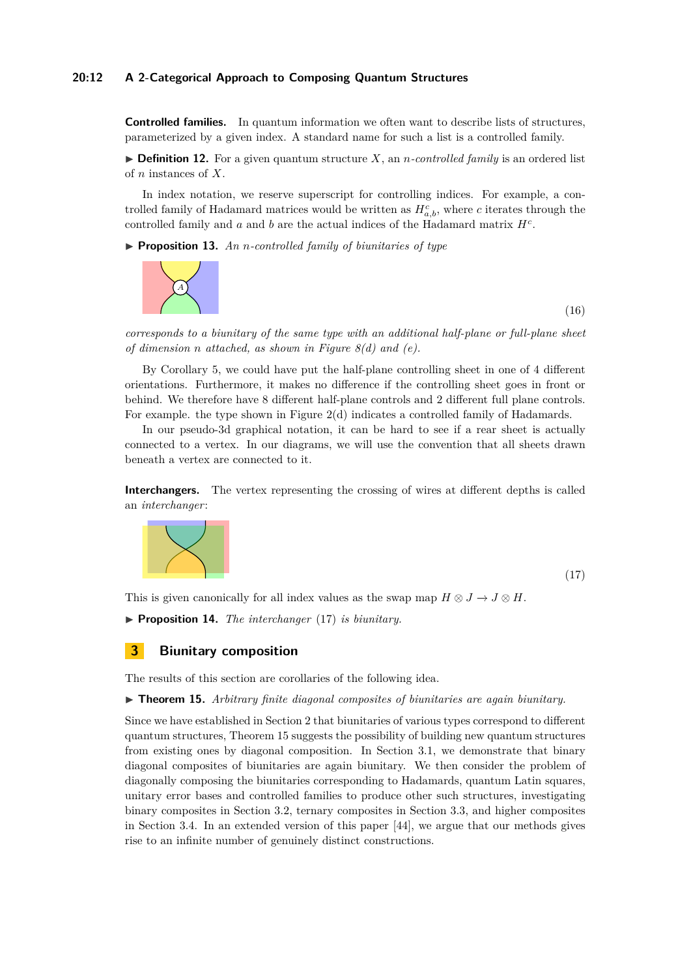## **20:12 A 2-Categorical Approach to Composing Quantum Structures**

**Controlled families.** In quantum information we often want to describe lists of structures, parameterized by a given index. A standard name for such a list is a controlled family.

 $\triangleright$  **Definition 12.** For a given quantum structure *X*, an *n*-controlled family is an ordered list of *n* instances of *X*.

In index notation, we reserve superscript for controlling indices. For example, a controlled family of Hadamard matrices would be written as  $H_{a,b}^c$ , where *c* iterates through the controlled family and *a* and *b* are the actual indices of the Hadamard matrix *H<sup>c</sup>* .

▶ **Proposition 13.** *An n-controlled family of biunitaries of type* 



(16)

(17)

*corresponds to a biunitary of the same type with an additional half-plane or full-plane sheet of dimension n attached, as shown in Figure [8\(](#page-9-1)d) and (e).*

By Corollary [5,](#page-9-3) we could have put the half-plane controlling sheet in one of 4 different orientations. Furthermore, it makes no difference if the controlling sheet goes in front or behind. We therefore have 8 different half-plane controls and 2 different full plane controls. For example. the type shown in Figure [2\(](#page-1-1)d) indicates a controlled family of Hadamards.

In our pseudo-3d graphical notation, it can be hard to see if a rear sheet is actually connected to a vertex. In our diagrams, we will use the convention that all sheets drawn beneath a vertex are connected to it.

**Interchangers.** The vertex representing the crossing of wires at different depths is called an *interchanger*:

<span id="page-11-1"></span>

This is given canonically for all index values as the swap map  $H \otimes J \to J \otimes H$ .

<span id="page-11-3"></span>▶ **Proposition 14.** *The interchanger* [\(17\)](#page-11-1) *is biunitary.* 

## <span id="page-11-0"></span>**3 Biunitary composition**

The results of this section are corollaries of the following idea.

#### <span id="page-11-2"></span>I **Theorem 15.** *Arbitrary finite diagonal composites of biunitaries are again biunitary.*

Since we have established in Section [2](#page-5-0) that biunitaries of various types correspond to different quantum structures, Theorem [15](#page-11-2) suggests the possibility of building new quantum structures from existing ones by diagonal composition. In Section [3.1,](#page-12-2) we demonstrate that binary diagonal composites of biunitaries are again biunitary. We then consider the problem of diagonally composing the biunitaries corresponding to Hadamards, quantum Latin squares, unitary error bases and controlled families to produce other such structures, investigating binary composites in Section [3.2,](#page-12-3) ternary composites in Section [3.3,](#page-14-0) and higher composites in Section [3.4.](#page-16-4) In an extended version of this paper [\[44\]](#page-18-2), we argue that our methods gives rise to an infinite number of genuinely distinct constructions.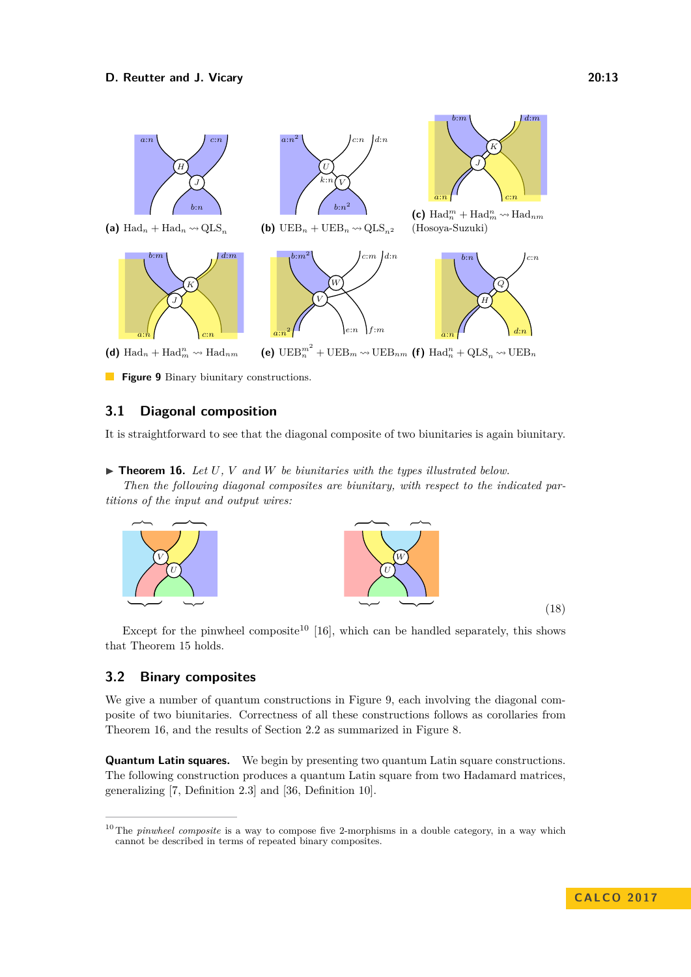<span id="page-12-1"></span>

**Figure 9** Binary biunitary constructions.

# <span id="page-12-2"></span>**3.1 Diagonal composition**

It is straightforward to see that the diagonal composite of two biunitaries is again biunitary.

<span id="page-12-0"></span> $\triangleright$  **Theorem 16.** Let *U*, *V* and *W* be biunitaries with the types illustrated below.

*Then the following diagonal composites are biunitary, with respect to the indicated partitions of the input and output wires:*



Except for the pinwheel composite<sup>[10](#page-12-4)</sup> [\[16\]](#page-17-17), which can be handled separately, this shows that Theorem [15](#page-11-2) holds.

# <span id="page-12-3"></span>**3.2 Binary composites**

We give a number of quantum constructions in Figure [9,](#page-12-1) each involving the diagonal composite of two biunitaries. Correctness of all these constructions follows as corollaries from Theorem [16,](#page-12-0) and the results of Section [2.2](#page-9-0) as summarized in Figure [8.](#page-9-1)

**Quantum Latin squares.** We begin by presenting two quantum Latin square constructions. The following construction produces a quantum Latin square from two Hadamard matrices, generalizing [\[7,](#page-17-5) Definition 2.3] and [\[36,](#page-18-4) Definition 10].

(18)

<span id="page-12-4"></span><sup>&</sup>lt;sup>10</sup> The *pinwheel composite* is a way to compose five 2-morphisms in a double category, in a way which cannot be described in terms of repeated binary composites.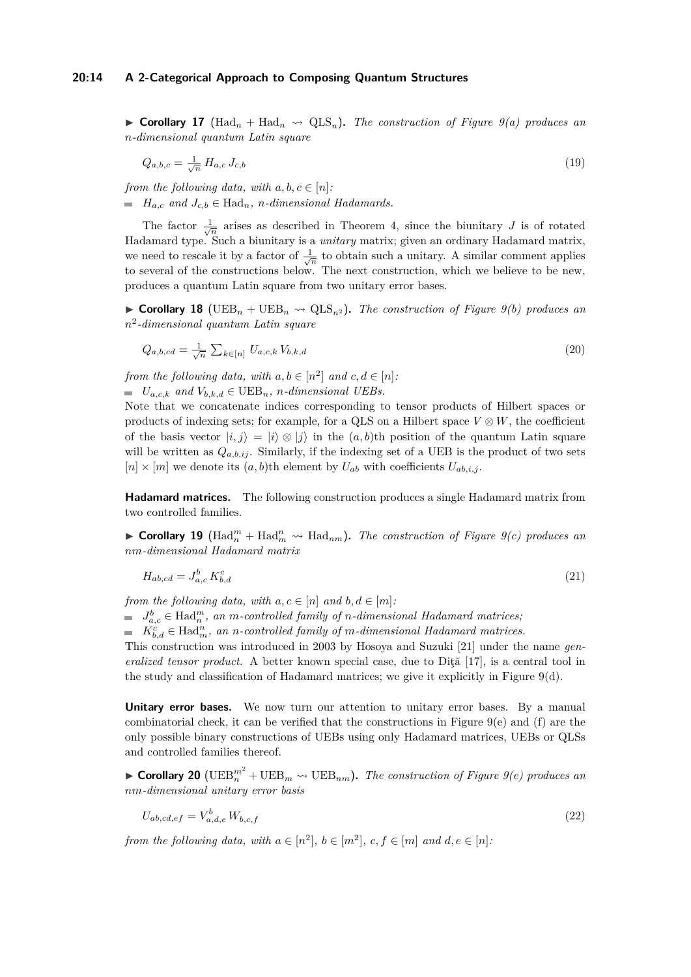$\triangleright$  **Corollary 17** (Had<sub>n</sub> + Had<sub>n</sub>  $\rightsquigarrow$  QLS<sub>n</sub>). The construction of Figure [9\(](#page-12-1)*a)* produces an *n-dimensional quantum Latin square*

$$
Q_{a,b,c} = \frac{1}{\sqrt{n}} H_{a,c} J_{c,b} \tag{19}
$$

*from the following data, with*  $a, b, c \in [n]$ :  $H_{a,c}$  *and*  $J_{c,b} \in \text{Had}_{n}$ *, n-dimensional Hadamards.* 

The factor  $\frac{1}{\sqrt{n}}$  arises as described in Theorem [4,](#page-9-2) since the biunitary *J* is of rotated Hadamard type. Such a biunitary is a *unitary* matrix; given an ordinary Hadamard matrix, we need to rescale it by a factor of  $\frac{1}{\sqrt{n}}$  to obtain such a unitary. A similar comment applies to several of the constructions below. The next construction, which we believe to be new, produces a quantum Latin square from two unitary error bases.

 $\triangleright$  **Corollary 18** (UEB<sub>n</sub> + UEB<sub>n</sub>  $\rightsquigarrow$  QLS<sub>n<sup>2</sub></sup>). *The construction of Figure [9\(](#page-12-1)b) produces an*</sub> *n* 2 *-dimensional quantum Latin square*

$$
Q_{a,b,cd} = \frac{1}{\sqrt{n}} \sum_{k \in [n]} U_{a,c,k} V_{b,k,d}
$$
\n(20)

*from the following data, with*  $a, b \in [n^2]$  *and*  $c, d \in [n]$ .

 $U_{a,c,k}$  *and*  $V_{b,k,d} \in \text{UEB}_n$ *, n-dimensional UEBs.* 

Note that we concatenate indices corresponding to tensor products of Hilbert spaces or products of indexing sets; for example, for a QLS on a Hilbert space  $V \otimes W$ , the coefficient of the basis vector  $|i, j\rangle = |i\rangle \otimes |j\rangle$  in the  $(a, b)$ th position of the quantum Latin square will be written as  $Q_{a,b,ij}$ . Similarly, if the indexing set of a UEB is the product of two sets  $[n] \times [m]$  we denote its  $(a, b)$ th element by  $U_{ab}$  with coefficients  $U_{ab,i,j}$ .

**Hadamard matrices.** The following construction produces a single Hadamard matrix from two controlled families.

▶ Corollary 19 ( $\text{Had}_{n}^{m}$  +  $\text{Had}_{m}^{n}$   $\rightsquigarrow$   $\text{Had}_{nm}$ ). The construction of Figure [9\(](#page-12-1)*c*) produces an *nm-dimensional Hadamard matrix*

$$
H_{ab,cd} = J_{a,c}^b K_{b,d}^c \tag{21}
$$

*from the following data, with*  $a, c \in [n]$  *and*  $b, d \in [m]$ :

 $J_{a,c}^b \in \text{Had}_n^m$ , an *m*-controlled family of *n*-dimensional Hadamard matrices;

 $K_{b,d}^c \in \text{Had}_{m}^n$ , an *n*-controlled family of *m*-dimensional Hadamard matrices.

This construction was introduced in 2003 by Hosoya and Suzuki [\[21\]](#page-17-3) under the name *generalized tensor product.* A better known special case, due to Dită [\[17\]](#page-17-4), is a central tool in the study and classification of Hadamard matrices; we give it explicitly in Figure [9\(](#page-12-1)d).

**Unitary error bases.** We now turn our attention to unitary error bases. By a manual combinatorial check, it can be verified that the constructions in Figure [9\(](#page-12-1)e) and (f) are the only possible binary constructions of UEBs using only Hadamard matrices, UEBs or QLSs and controlled families thereof.

 $\blacktriangleright$  **Corollary 20** (UEB<sub>n</sub><sup>2</sup> + UEB<sub>n</sub>  $\rightsquigarrow$  UEB<sub>nm</sub>). *The construction of Figure [9\(](#page-12-1)e) produces an nm-dimensional unitary error basis*

$$
U_{ab,cd,ef} = V_{a,d,e}^b W_{b,c,f}
$$
\n
$$
(22)
$$

*from the following data, with*  $a \in [n^2]$ ,  $b \in [m^2]$ ,  $c, f \in [m]$  and  $d, e \in [n]$ .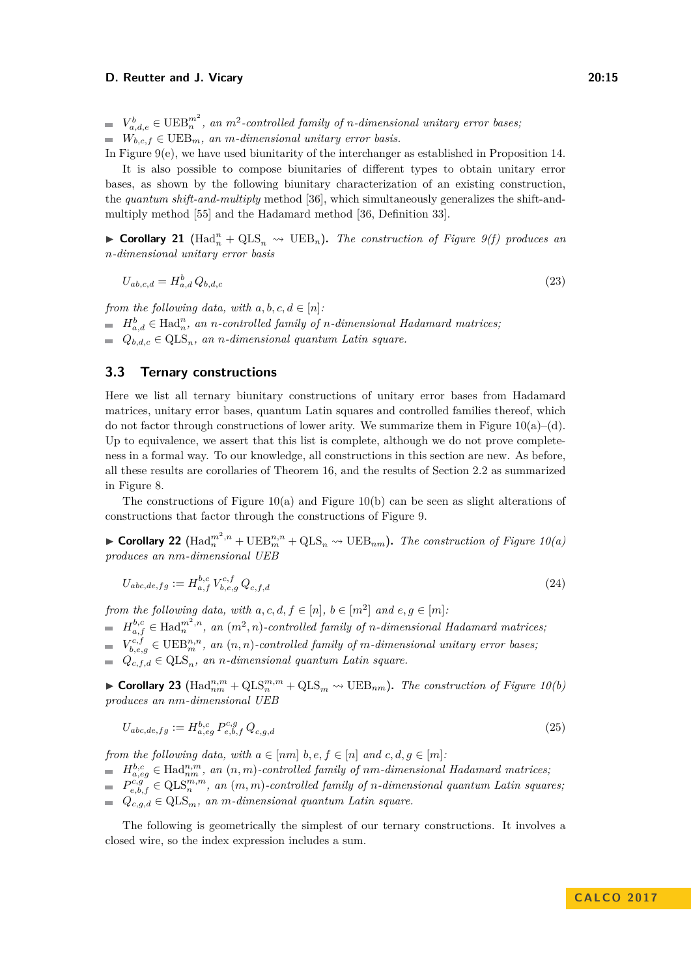$V_{a,d,e}^b \in \mathrm{UEB}_n^{m^2}$ , an  $m^2$ -controlled family of *n*-dimensional unitary error bases;  $W_{bc}$  *f* ∈ UEB<sub>*m</sub>, an m-dimensional unitary error basis.*</sub>

In Figure [9\(](#page-12-1)e), we have used biunitarity of the interchanger as established in Proposition [14.](#page-11-3) It is also possible to compose biunitaries of different types to obtain unitary error bases, as shown by the following biunitary characterization of an existing construction, the *quantum shift-and-multiply* method [\[36\]](#page-18-4), which simultaneously generalizes the shift-andmultiply method [\[55\]](#page-19-4) and the Hadamard method [\[36,](#page-18-4) Definition 33].

▶ Corollary 21 ( $\text{Had}_{n}^{n} + \text{QLS}_{n}$   $\rightsquigarrow \text{UEB}_{n}$ ). The construction of Figure [9\(](#page-12-1)f) produces an *n-dimensional unitary error basis*

$$
U_{ab,c,d} = H_{a,d}^b Q_{b,d,c} \tag{23}
$$

*from the following data, with*  $a, b, c, d \in [n]$ :

 $H_{a,d}^b \in \text{Had}_n^n$ , an *n*-controlled family of *n*-dimensional Hadamard matrices;

 $Q_{b,d,c} \in QLS_n$ *, an n-dimensional quantum Latin square.* 

## <span id="page-14-0"></span>**3.3 Ternary constructions**

Here we list all ternary biunitary constructions of unitary error bases from Hadamard matrices, unitary error bases, quantum Latin squares and controlled families thereof, which do not factor through constructions of lower arity. We summarize them in Figure  $10(a)$ –(d). Up to equivalence, we assert that this list is complete, although we do not prove completeness in a formal way. To our knowledge, all constructions in this section are new. As before, all these results are corollaries of Theorem [16,](#page-12-0) and the results of Section [2.2](#page-9-0) as summarized in Figure [8.](#page-9-1)

The constructions of Figure [10\(](#page-15-0)a) and Figure 10(b) can be seen as slight alterations of constructions that factor through the constructions of Figure [9.](#page-12-1)

▶ Corollary 22  $(Had_n^{m^2,n} + UEB_m^{n,n} + QLS_n$  →  $UEB_{nm}$ ). The construction of Figure [10\(](#page-15-0)*a*) *produces an nm-dimensional UEB*

$$
U_{abc,de,fg} := H_{a,f}^{b,c} V_{b,e,g}^{c,f} Q_{c,f,d}
$$
\n(24)

*from the following data, with*  $a, c, d, f \in [n], b \in [m^2]$  *and*  $e, g \in [m]$ :

 $H_{a,f}^{b,c} \in \text{Had}_{n}^{m^2,n}$ , an  $(m^2, n)$ -controlled family of *n*-dimensional Hadamard matrices;

 $V_{b, e, g}^{c, f} \in \mathrm{UEB}_{m}^{n, n}$ , an  $(n, n)$ -controlled family of *m*-dimensional unitary error bases;

 $Q_{c,f,d} \in QLS_n$ , an *n*-dimensional quantum Latin square.

▶ Corollary 23 ( $\text{Had}_{nm}^{n,m} + \text{QLS}_{n}^{m,m} + \text{QLS}_{m} \rightsquigarrow \text{UEB}_{nm}$ ). *The construction of Figure* [10\(](#page-15-0)*b*) *produces an nm-dimensional UEB*

$$
U_{abc,de,fg} := H_{a,eg}^{b,c} P_{e,b,f}^{c,g} Q_{c,g,d}
$$
\n
$$
(25)
$$

*from the following data, with*  $a \in [nm]$   $b, e, f \in [n]$  and  $c, d, g \in [m]$ :

 $H_{a,eg}^{b,c} \in \text{Had}_{nm}^{n,m}$ , an  $(n,m)$ -controlled family of nm-dimensional Hadamard matrices,

 $P_{e,b,f}^{c,g} \in QLS_n^{m,m}$ , an  $(m, m)$ -controlled family of *n*-dimensional quantum Latin squares;  $Q_{c,q,d} \in \text{QLS}_m$ , an *m*-dimensional quantum Latin square.

The following is geometrically the simplest of our ternary constructions. It involves a closed wire, so the index expression includes a sum.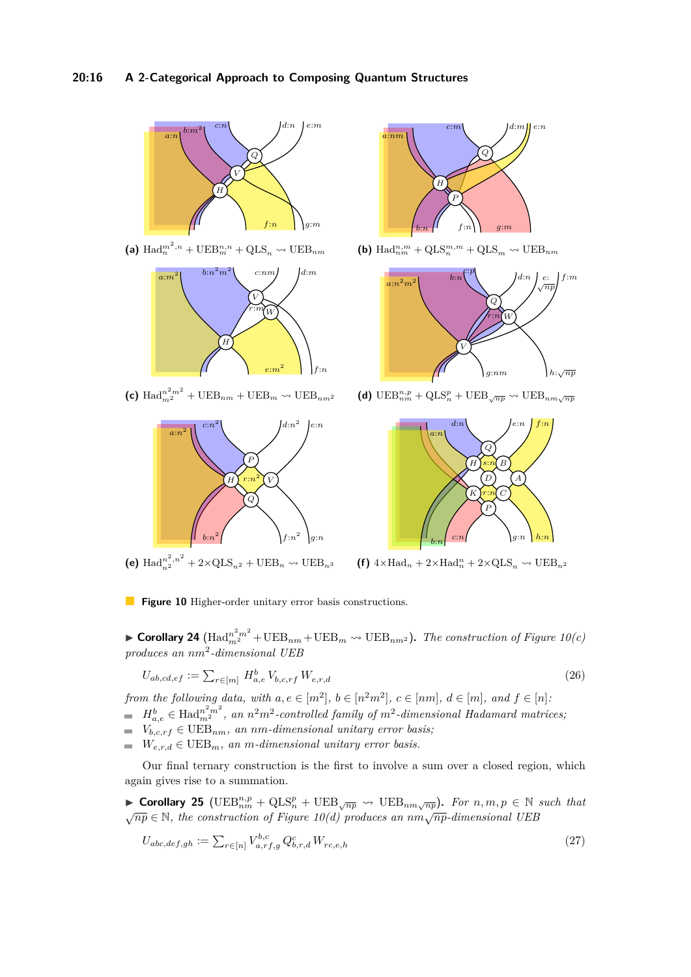## **20:16 A 2-Categorical Approach to Composing Quantum Structures**

<span id="page-15-0"></span>

(a)  $\text{Had}_{n}^{m^{2},n} + \text{UEB}_{m}^{n,n} + \text{QLS}_{n} \rightsquigarrow \text{UEB}_{nm}$ 



(c)  $\text{Had}_{m^2}^{n^2m^2} + \text{UEB}_{nm} + \text{UEB}_{m} \rightsquigarrow \text{UEB}_{nm^2}$ 



**(e)**  $\text{Had}_{n^2}^{n^2, n^2} + 2 \times \text{QLS}_{n^2} + \text{UEB}_n \rightsquigarrow \text{UEB}_{n^3}$ 



(b)  $\text{Had}_{nm}^{n,m} + \text{QLS}_{n}^{m,m} + \text{QLS}_{m} \rightsquigarrow \text{UEB}_{nm}$ 



(d)  $\mathrm{UEB}_{nm}^{n,p} + \mathrm{QLS}_{n}^{p} + \mathrm{UEB}_{\sqrt{np}} \rightsquigarrow \mathrm{UEB}_{nm\sqrt{np}}$ 



(f)  $4 \times \text{Had}_n + 2 \times \text{Had}_n^n + 2 \times \text{QLS}_n \rightsquigarrow \text{UEB}_{n^2}$ 

**Figure 10** Higher-order unitary error basis constructions.

 $\blacktriangleright$  **Corollary 24**  $(\text{Had}_{m^2}^{n^2m^2} + \text{UEB}_{nm} + \text{UEB}_{m} \rightsquigarrow \text{UEB}_{nm^2})$ . The construction of Figure [10\(](#page-15-0)c) *produces an nm*<sup>2</sup> *-dimensional UEB*

$$
U_{ab,cd,ef} := \sum_{r \in [m]} H_{a,e}^b V_{b,c,rf} W_{e,r,d}
$$
\n(26)

*from the following data, with*  $a, e \in [m^2]$ ,  $b \in [n^2m^2]$ ,  $c \in [nm]$ ,  $d \in [m]$ , and  $f \in [n]$ :  $H_{a,e}^b \in \text{Had}_{m^2}^{n^2m^2}$ , an  $n^2m^2$ -controlled family of  $m^2$ -dimensional Hadamard matrices;

- 
- $V_{b,c,rf} \in \text{UEB}_{nm}$ , an *nm*-dimensional unitary error basis;
- $W_{e,r,d} \in \text{UEB}_{m}$ , an *m*-dimensional unitary error basis.

Our final ternary construction is the first to involve a sum over a closed region, which again gives rise to a summation.

▶ Corollary 25 ( $\text{UEB}_{nm}^{n,p} + \text{QLS}_{n}^p + \text{UEB}_{\sqrt{np}} \rightsquigarrow \text{UEB}_{nm\sqrt{np}}$ ). For  $n, m, p \in \mathbb{N}$  such that <sup>√</sup>*np* <sup>∈</sup> <sup>N</sup>*, the construction of Figure [10\(](#page-15-0)d) produces an nm*√*np-dimensional UEB*

$$
U_{abc,def,gh} := \sum_{r \in [n]} V_{a,rf,g}^{b,c} Q_{b,r,d}^c W_{rc,e,h}
$$
\n(27)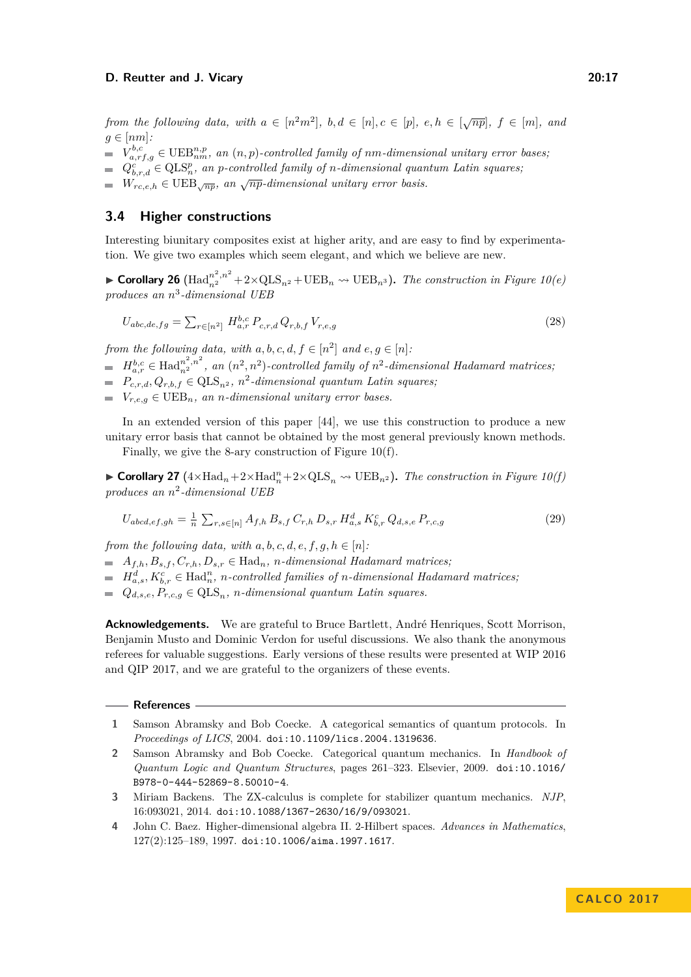*from the following data, with*  $a \in [n^2m^2]$ ,  $b, d \in [n], c \in [p]$ ,  $e, h \in [\sqrt{np}]$ ,  $f \in [m]$ , and  $q \in [nm]$ :

- $V_{a,rf,g}^{b,c} \in \text{UEB}_{nm}^{n,p}$ , an  $(n, p)$ -controlled family of  $nm$ -dimensional unitary error bases;
- $Q_{b,r,d}^c \in QLS_n^p$ , an *p-controlled family of n-dimensional quantum Latin squares*;
- $W_{r,c,e,h} \in \text{UEB}_{\sqrt{np}}$ , an  $\sqrt{np}$ -dimensional unitary error basis.

# <span id="page-16-4"></span>**3.4 Higher constructions**

Interesting biunitary composites exist at higher arity, and are easy to find by experimentation. We give two examples which seem elegant, and which we believe are new.

▶ Corollary 26  $\left(\text{Had}_{n^2}^{n^2,n^2}+2\times\text{QLS}_{n^2}+\text{UEB}_n$  →  $\text{UEB}_{n^3}$ ). The construction in Figure [10\(](#page-15-0)*e*) *produces an n* 3 *-dimensional UEB*

$$
U_{abc,de,fg} = \sum_{r \in [n^2]} H_{a,r}^{b,c} P_{c,r,d} Q_{r,b,f} V_{r,e,g}
$$
\n(28)

*from the following data, with*  $a, b, c, d, f \in [n^2]$  *and*  $e, g \in [n]$ :

- $H_{a,r}^{b,c} \in \text{Had}_{n^2}^{\{n^2,n^2\}}$ , an  $(n^2,n^2)$ -controlled family of  $n^2$ -dimensional Hadamard matrices;
- $P_{c,r,d}, Q_{r,b,f} \in \text{QLS}_{n^2}, n^2$ -dimensional quantum Latin squares;
- $V_{r,e,q} \in \text{UEB}_n$ , an *n*-dimensional unitary error bases.

In an extended version of this paper [\[44\]](#page-18-2), we use this construction to produce a new unitary error basis that cannot be obtained by the most general previously known methods.

Finally, we give the 8-ary construction of Figure [10\(](#page-15-0)f).

▶ Corollary 27  $(4 \times \text{Had}_n + 2 \times \text{Had}_n^n + 2 \times \text{QLS}_n \rightsquigarrow \text{UEB}_{n^2})$ . *The construction in Figure [10\(](#page-15-0)f) produces an n* 2 *-dimensional UEB*

$$
U_{abcd,ef,gh} = \frac{1}{n} \sum_{r,s \in [n]} A_{f,h} B_{s,f} C_{r,h} D_{s,r} H_{a,s}^d K_{b,r}^c Q_{d,s,e} P_{r,c,g}
$$
(29)

*from the following data, with*  $a, b, c, d, e, f, g, h \in [n]$ :

 $A_{f,h}, B_{s,f}, C_{r,h}, D_{s,r} \in \text{Had}_n$ , *n*-dimensional Hadamard matrices;

 $H_{a,s}^d, K_{b,r}^c \in \text{Had}_n^n$ , *n*-controlled families of *n*-dimensional Hadamard matrices;

 $Q_{d,s,e}, P_{r,c,g} \in QLS_n$ , *n*-dimensional quantum Latin squares.

Acknowledgements. We are grateful to Bruce Bartlett, André Henriques, Scott Morrison, Benjamin Musto and Dominic Verdon for useful discussions. We also thank the anonymous referees for valuable suggestions. Early versions of these results were presented at WIP 2016 and QIP 2017, and we are grateful to the organizers of these events.

#### **References**

- <span id="page-16-1"></span>**1** Samson Abramsky and Bob Coecke. A categorical semantics of quantum protocols. In *Proceedings of LICS*, 2004. [doi:10.1109/lics.2004.1319636](http://dx.doi.org/10.1109/lics.2004.1319636).
- <span id="page-16-2"></span>**2** Samson Abramsky and Bob Coecke. Categorical quantum mechanics. In *Handbook of Quantum Logic and Quantum Structures*, pages 261–323. Elsevier, 2009. [doi:10.1016/](http://dx.doi.org/10.1016/B978-0-444-52869-8.50010-4) [B978-0-444-52869-8.50010-4](http://dx.doi.org/10.1016/B978-0-444-52869-8.50010-4).
- <span id="page-16-3"></span>**3** Miriam Backens. The ZX-calculus is complete for stabilizer quantum mechanics. *NJP*, 16:093021, 2014. [doi:10.1088/1367-2630/16/9/093021](http://dx.doi.org/10.1088/1367-2630/16/9/093021).
- <span id="page-16-0"></span>**4** John C. Baez. Higher-dimensional algebra II. 2-Hilbert spaces. *Advances in Mathematics*, 127(2):125–189, 1997. [doi:10.1006/aima.1997.1617](http://dx.doi.org/10.1006/aima.1997.1617).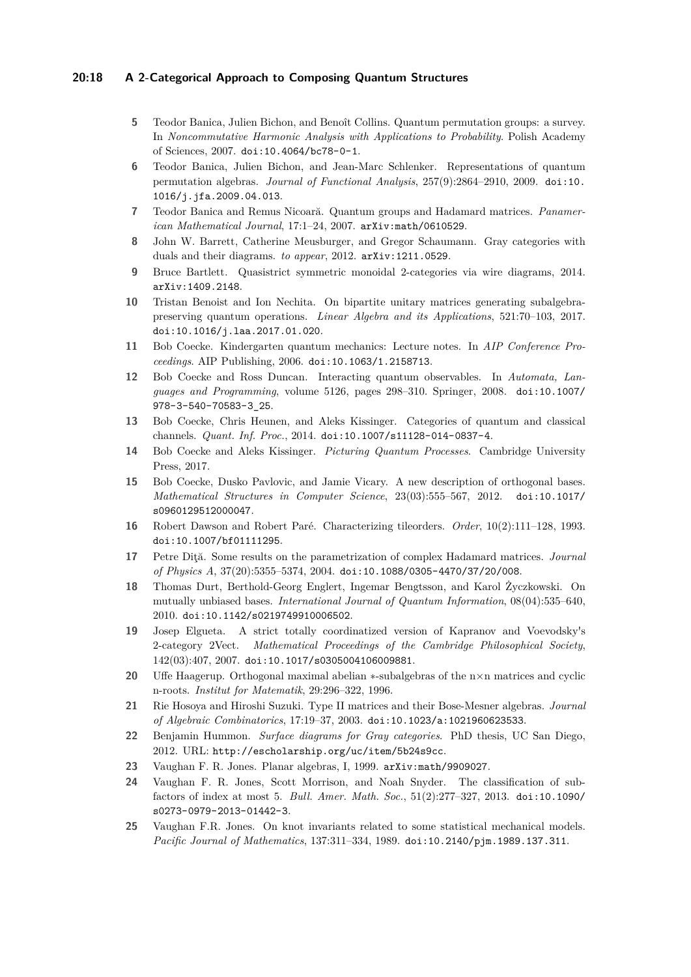## **20:18 A 2-Categorical Approach to Composing Quantum Structures**

- <span id="page-17-9"></span>**5** Teodor Banica, Julien Bichon, and Benoît Collins. Quantum permutation groups: a survey. In *Noncommutative Harmonic Analysis with Applications to Probability*. Polish Academy of Sciences, 2007. [doi:10.4064/bc78-0-1](http://dx.doi.org/10.4064/bc78-0-1).
- **6** Teodor Banica, Julien Bichon, and Jean-Marc Schlenker. Representations of quantum permutation algebras. *Journal of Functional Analysis*, 257(9):2864–2910, 2009. [doi:10.](http://dx.doi.org/10.1016/j.jfa.2009.04.013) [1016/j.jfa.2009.04.013](http://dx.doi.org/10.1016/j.jfa.2009.04.013).
- <span id="page-17-5"></span>**7** Teodor Banica and Remus Nicoară. Quantum groups and Hadamard matrices. *Panamerican Mathematical Journal*, 17:1–24, 2007. [arXiv:math/0610529](http://arxiv.org/abs/math/0610529).
- <span id="page-17-12"></span>**8** John W. Barrett, Catherine Meusburger, and Gregor Schaumann. Gray categories with duals and their diagrams. *to appear*, 2012. [arXiv:1211.0529](http://arxiv.org/abs/1211.0529).
- <span id="page-17-13"></span>**9** Bruce Bartlett. Quasistrict symmetric monoidal 2-categories via wire diagrams, 2014. [arXiv:1409.2148](http://arxiv.org/abs/1409.2148).
- <span id="page-17-6"></span>**10** Tristan Benoist and Ion Nechita. On bipartite unitary matrices generating subalgebrapreserving quantum operations. *Linear Algebra and its Applications*, 521:70–103, 2017. [doi:10.1016/j.laa.2017.01.020](http://dx.doi.org/10.1016/j.laa.2017.01.020).
- <span id="page-17-10"></span>**11** Bob Coecke. Kindergarten quantum mechanics: Lecture notes. In *AIP Conference Proceedings*. AIP Publishing, 2006. [doi:10.1063/1.2158713](http://dx.doi.org/10.1063/1.2158713).
- <span id="page-17-16"></span>**12** Bob Coecke and Ross Duncan. Interacting quantum observables. In *Automata, Languages and Programming*, volume 5126, pages 298–310. Springer, 2008. [doi:10.1007/](http://dx.doi.org/10.1007/978-3-540-70583-3_25) [978-3-540-70583-3\\_25](http://dx.doi.org/10.1007/978-3-540-70583-3_25).
- **13** Bob Coecke, Chris Heunen, and Aleks Kissinger. Categories of quantum and classical channels. *Quant. Inf. Proc.*, 2014. [doi:10.1007/s11128-014-0837-4](http://dx.doi.org/10.1007/s11128-014-0837-4).
- **14** Bob Coecke and Aleks Kissinger. *Picturing Quantum Processes*. Cambridge University Press, 2017.
- <span id="page-17-11"></span>**15** Bob Coecke, Dusko Pavlovic, and Jamie Vicary. A new description of orthogonal bases. *Mathematical Structures in Computer Science*, 23(03):555–567, 2012. [doi:10.1017/](http://dx.doi.org/10.1017/s0960129512000047) [s0960129512000047](http://dx.doi.org/10.1017/s0960129512000047).
- <span id="page-17-17"></span>**16** Robert Dawson and Robert Paré. Characterizing tileorders. *Order*, 10(2):111–128, 1993. [doi:10.1007/bf01111295](http://dx.doi.org/10.1007/bf01111295).
- <span id="page-17-4"></span>**17** Petre Diţă. Some results on the parametrization of complex Hadamard matrices. *Journal of Physics A*, 37(20):5355–5374, 2004. [doi:10.1088/0305-4470/37/20/008](http://dx.doi.org/10.1088/0305-4470/37/20/008).
- <span id="page-17-2"></span>**18** Thomas Durt, Berthold-Georg Englert, Ingemar Bengtsson, and Karol Życzkowski. On mutually unbiased bases. *International Journal of Quantum Information*, 08(04):535–640, 2010. [doi:10.1142/s0219749910006502](http://dx.doi.org/10.1142/s0219749910006502).
- <span id="page-17-15"></span>**19** Josep Elgueta. A strict totally coordinatized version of Kapranov and Voevodsky's 2-category 2Vect. *Mathematical Proceedings of the Cambridge Philosophical Society*, 142(03):407, 2007. [doi:10.1017/s0305004106009881](http://dx.doi.org/10.1017/s0305004106009881).
- <span id="page-17-7"></span>**20** Uffe Haagerup. Orthogonal maximal abelian ∗-subalgebras of the n×n matrices and cyclic n-roots. *Institut for Matematik*, 29:296–322, 1996.
- <span id="page-17-3"></span>**21** Rie Hosoya and Hiroshi Suzuki. Type II matrices and their Bose-Mesner algebras. *Journal of Algebraic Combinatorics*, 17:19–37, 2003. [doi:10.1023/a:1021960623533](http://dx.doi.org/10.1023/a:1021960623533).
- <span id="page-17-14"></span>**22** Benjamin Hummon. *Surface diagrams for Gray categories*. PhD thesis, UC San Diego, 2012. URL: <http://escholarship.org/uc/item/5b24s9cc>.
- <span id="page-17-0"></span>**23** Vaughan F. R. Jones. Planar algebras, I, 1999. [arXiv:math/9909027](http://arxiv.org/abs/math/9909027).
- <span id="page-17-1"></span>**24** Vaughan F. R. Jones, Scott Morrison, and Noah Snyder. The classification of subfactors of index at most 5. *Bull. Amer. Math. Soc.*, 51(2):277–327, 2013. [doi:10.1090/](http://dx.doi.org/10.1090/s0273-0979-2013-01442-3) [s0273-0979-2013-01442-3](http://dx.doi.org/10.1090/s0273-0979-2013-01442-3).
- <span id="page-17-8"></span>**25** Vaughan F.R. Jones. On knot invariants related to some statistical mechanical models. *Pacific Journal of Mathematics*, 137:311–334, 1989. [doi:10.2140/pjm.1989.137.311](http://dx.doi.org/10.2140/pjm.1989.137.311).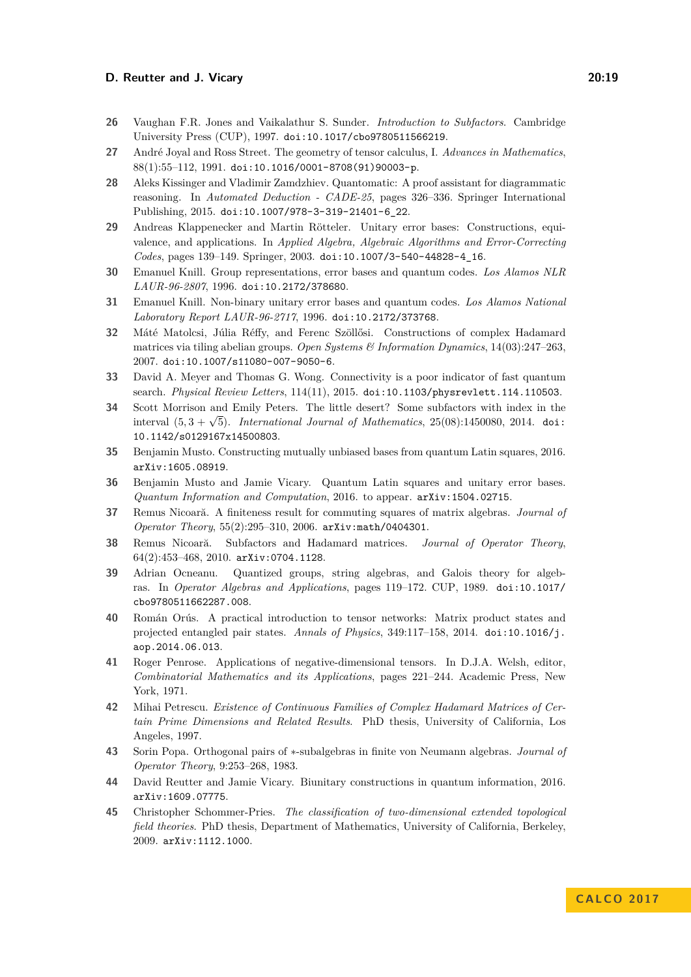- <span id="page-18-13"></span>**26** Vaughan F.R. Jones and Vaikalathur S. Sunder. *Introduction to Subfactors*. Cambridge University Press (CUP), 1997. [doi:10.1017/cbo9780511566219](http://dx.doi.org/10.1017/cbo9780511566219).
- <span id="page-18-17"></span>**27** André Joyal and Ross Street. The geometry of tensor calculus, I. *Advances in Mathematics*, 88(1):55–112, 1991. [doi:10.1016/0001-8708\(91\)90003-p](http://dx.doi.org/10.1016/0001-8708(91)90003-p).
- <span id="page-18-15"></span>**28** Aleks Kissinger and Vladimir Zamdzhiev. Quantomatic: A proof assistant for diagrammatic reasoning. In *Automated Deduction - CADE-25*, pages 326–336. Springer International Publishing, 2015. [doi:10.1007/978-3-319-21401-6\\_22](http://dx.doi.org/10.1007/978-3-319-21401-6_22).
- <span id="page-18-5"></span>**29** Andreas Klappenecker and Martin Rötteler. Unitary error bases: Constructions, equivalence, and applications. In *Applied Algebra, Algebraic Algorithms and Error-Correcting Codes*, pages 139–149. Springer, 2003. [doi:10.1007/3-540-44828-4\\_16](http://dx.doi.org/10.1007/3-540-44828-4_16).
- <span id="page-18-11"></span>**30** Emanuel Knill. Group representations, error bases and quantum codes. *Los Alamos NLR LAUR-96-2807*, 1996. [doi:10.2172/378680](http://dx.doi.org/10.2172/378680).
- <span id="page-18-3"></span>**31** Emanuel Knill. Non-binary unitary error bases and quantum codes. *Los Alamos National Laboratory Report LAUR-96-2717*, 1996. [doi:10.2172/373768](http://dx.doi.org/10.2172/373768).
- <span id="page-18-9"></span>**32** Máté Matolcsi, Júlia Réffy, and Ferenc Szöllősi. Constructions of complex Hadamard matrices via tiling abelian groups. *Open Systems & Information Dynamics*, 14(03):247–263, 2007. [doi:10.1007/s11080-007-9050-6](http://dx.doi.org/10.1007/s11080-007-9050-6).
- <span id="page-18-7"></span>**33** David A. Meyer and Thomas G. Wong. Connectivity is a poor indicator of fast quantum search. *Physical Review Letters*, 114(11), 2015. [doi:10.1103/physrevlett.114.110503](http://dx.doi.org/10.1103/physrevlett.114.110503).
- <span id="page-18-1"></span>**34** Scott Morrison and Emily Peters. The little desert? Some subfactors with index in the interval  $(5, 3 + \sqrt{5})$ . *International Journal of Mathematics*,  $25(08)$ :1450080, 2014. [doi:](http://dx.doi.org/10.1142/s0129167x14500803) [10.1142/s0129167x14500803](http://dx.doi.org/10.1142/s0129167x14500803).
- <span id="page-18-6"></span>**35** Benjamin Musto. Constructing mutually unbiased bases from quantum Latin squares, 2016. [arXiv:1605.08919](http://arxiv.org/abs/1605.08919).
- <span id="page-18-4"></span>**36** Benjamin Musto and Jamie Vicary. Quantum Latin squares and unitary error bases. *Quantum Information and Computation*, 2016. to appear. [arXiv:1504.02715](http://arxiv.org/abs/1504.02715).
- <span id="page-18-14"></span>**37** Remus Nicoară. A finiteness result for commuting squares of matrix algebras. *Journal of Operator Theory*, 55(2):295–310, 2006. [arXiv:math/0404301](http://arxiv.org/abs/math/0404301).
- <span id="page-18-10"></span>**38** Remus Nicoară. Subfactors and Hadamard matrices. *Journal of Operator Theory*, 64(2):453–468, 2010. [arXiv:0704.1128](http://arxiv.org/abs/0704.1128).
- <span id="page-18-0"></span>**39** Adrian Ocneanu. Quantized groups, string algebras, and Galois theory for algebras. In *Operator Algebras and Applications*, pages 119–172. CUP, 1989. [doi:10.1017/](http://dx.doi.org/10.1017/cbo9780511662287.008) [cbo9780511662287.008](http://dx.doi.org/10.1017/cbo9780511662287.008).
- <span id="page-18-18"></span>**40** Román Orús. A practical introduction to tensor networks: Matrix product states and projected entangled pair states. *Annals of Physics*, 349:117–158, 2014. [doi:10.1016/j.](http://dx.doi.org/10.1016/j.aop.2014.06.013) [aop.2014.06.013](http://dx.doi.org/10.1016/j.aop.2014.06.013).
- <span id="page-18-16"></span>**41** Roger Penrose. Applications of negative-dimensional tensors. In D.J.A. Welsh, editor, *Combinatorial Mathematics and its Applications*, pages 221–244. Academic Press, New York, 1971.
- <span id="page-18-12"></span>**42** Mihai Petrescu. *Existence of Continuous Families of Complex Hadamard Matrices of Certain Prime Dimensions and Related Results*. PhD thesis, University of California, Los Angeles, 1997.
- <span id="page-18-8"></span>**43** Sorin Popa. Orthogonal pairs of ∗-subalgebras in finite von Neumann algebras. *Journal of Operator Theory*, 9:253–268, 1983.
- <span id="page-18-2"></span>**44** David Reutter and Jamie Vicary. Biunitary constructions in quantum information, 2016. [arXiv:1609.07775](http://arxiv.org/abs/1609.07775).
- <span id="page-18-19"></span>**45** Christopher Schommer-Pries. *The classification of two-dimensional extended topological field theories*. PhD thesis, Department of Mathematics, University of California, Berkeley, 2009. [arXiv:1112.1000](http://arxiv.org/abs/1112.1000).